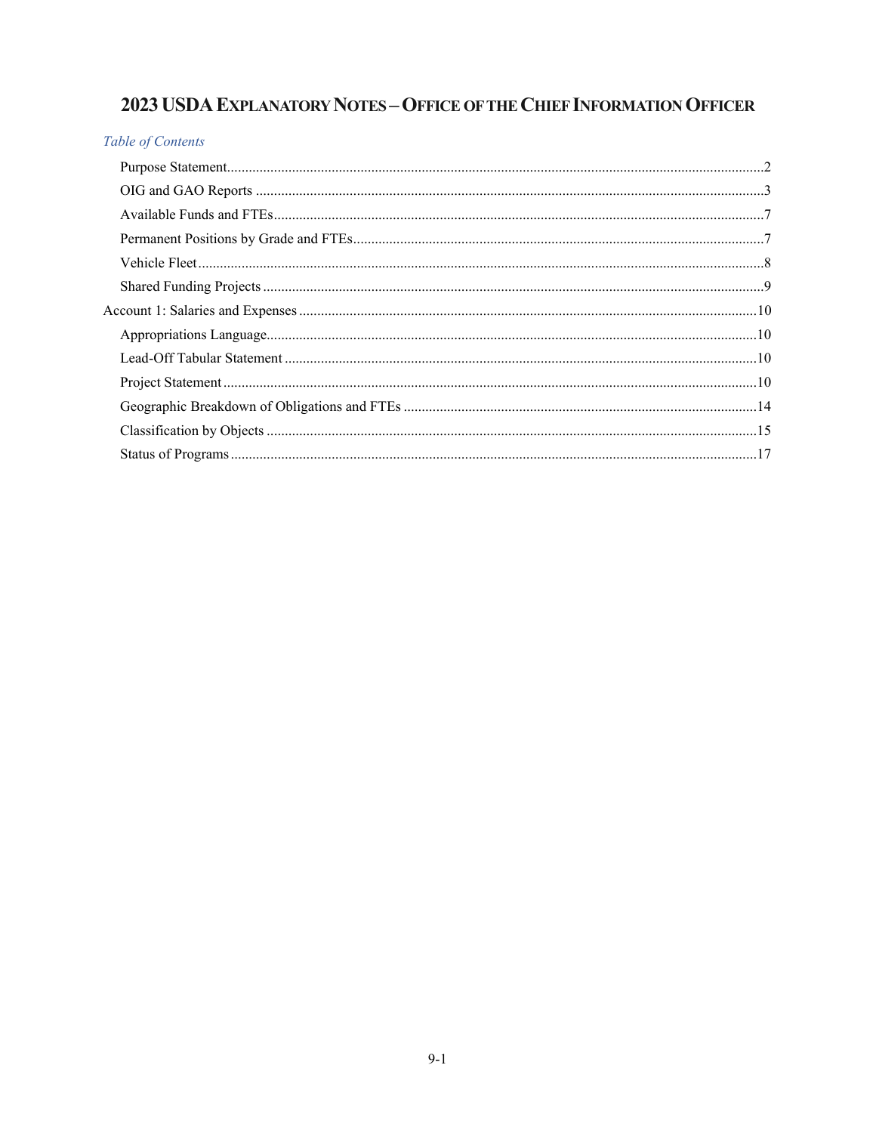## 2023 USDA EXPLANATORY NOTES - OFFICE OF THE CHIEF INFORMATION OFFICER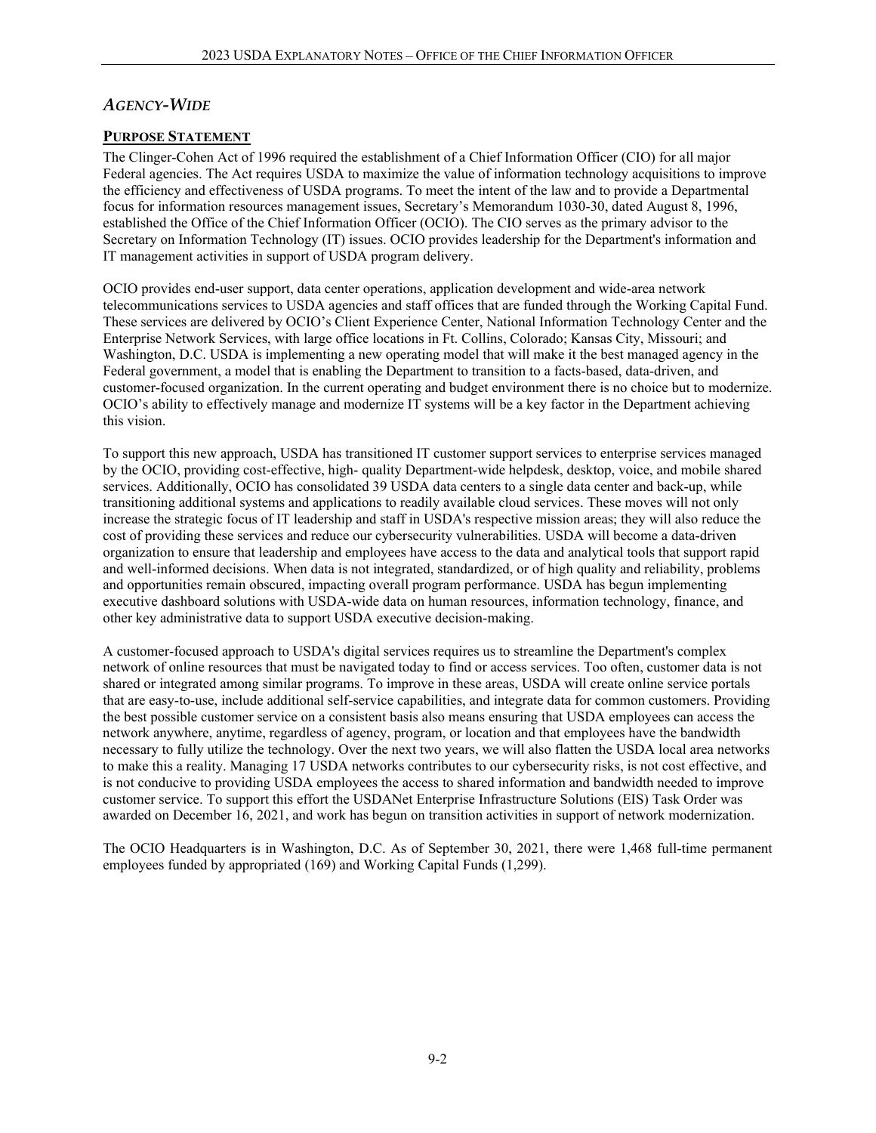## *AGENCY-WIDE*

#### **PURPOSE STATEMENT**

The Clinger-Cohen Act of 1996 required the establishment of a Chief Information Officer (CIO) for all major Federal agencies. The Act requires USDA to maximize the value of information technology acquisitions to improve the efficiency and effectiveness of USDA programs. To meet the intent of the law and to provide a Departmental focus for information resources management issues, Secretary's Memorandum 1030-30, dated August 8, 1996, established the Office of the Chief Information Officer (OCIO). The CIO serves as the primary advisor to the Secretary on Information Technology (IT) issues. OCIO provides leadership for the Department's information and IT management activities in support of USDA program delivery.

OCIO provides end-user support, data center operations, application development and wide-area network telecommunications services to USDA agencies and staff offices that are funded through the Working Capital Fund. These services are delivered by OCIO's Client Experience Center, National Information Technology Center and the Enterprise Network Services, with large office locations in Ft. Collins, Colorado; Kansas City, Missouri; and Washington, D.C. USDA is implementing a new operating model that will make it the best managed agency in the Federal government, a model that is enabling the Department to transition to a facts-based, data-driven, and customer-focused organization. In the current operating and budget environment there is no choice but to modernize. OCIO's ability to effectively manage and modernize IT systems will be a key factor in the Department achieving this vision.

To support this new approach, USDA has transitioned IT customer support services to enterprise services managed by the OCIO, providing cost-effective, high- quality Department-wide helpdesk, desktop, voice, and mobile shared services. Additionally, OCIO has consolidated 39 USDA data centers to a single data center and back-up, while transitioning additional systems and applications to readily available cloud services. These moves will not only increase the strategic focus of IT leadership and staff in USDA's respective mission areas; they will also reduce the cost of providing these services and reduce our cybersecurity vulnerabilities. USDA will become a data-driven organization to ensure that leadership and employees have access to the data and analytical tools that support rapid and well-informed decisions. When data is not integrated, standardized, or of high quality and reliability, problems and opportunities remain obscured, impacting overall program performance. USDA has begun implementing executive dashboard solutions with USDA-wide data on human resources, information technology, finance, and other key administrative data to support USDA executive decision-making.

A customer-focused approach to USDA's digital services requires us to streamline the Department's complex network of online resources that must be navigated today to find or access services. Too often, customer data is not shared or integrated among similar programs. To improve in these areas, USDA will create online service portals that are easy-to-use, include additional self-service capabilities, and integrate data for common customers. Providing the best possible customer service on a consistent basis also means ensuring that USDA employees can access the network anywhere, anytime, regardless of agency, program, or location and that employees have the bandwidth necessary to fully utilize the technology. Over the next two years, we will also flatten the USDA local area networks to make this a reality. Managing 17 USDA networks contributes to our cybersecurity risks, is not cost effective, and is not conducive to providing USDA employees the access to shared information and bandwidth needed to improve customer service. To support this effort the USDANet Enterprise Infrastructure Solutions (EIS) Task Order was awarded on December 16, 2021, and work has begun on transition activities in support of network modernization.

The OCIO Headquarters is in Washington, D.C. As of September 30, 2021, there were 1,468 full-time permanent employees funded by appropriated (169) and Working Capital Funds (1,299).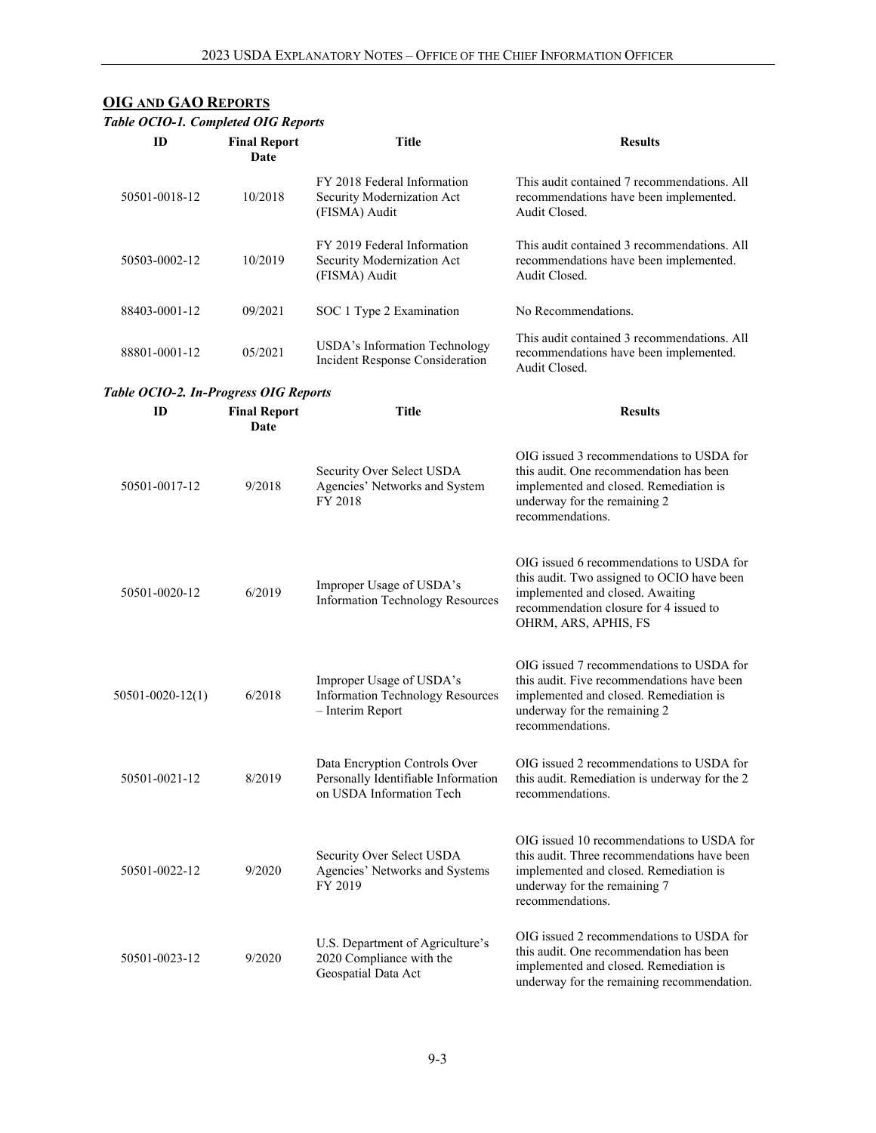## **OIG AND GAO REPORTS**

|                                       | Table OCIO-1. Completed OIG Reports |                                                                                                  |                                                                                                                                                                                              |  |  |  |  |
|---------------------------------------|-------------------------------------|--------------------------------------------------------------------------------------------------|----------------------------------------------------------------------------------------------------------------------------------------------------------------------------------------------|--|--|--|--|
| ID                                    | <b>Final Report</b><br>Date         | <b>Title</b>                                                                                     | <b>Results</b>                                                                                                                                                                               |  |  |  |  |
| 50501-0018-12                         | 10/2018                             | FY 2018 Federal Information<br>Security Modernization Act<br>(FISMA) Audit                       | This audit contained 7 recommendations. All<br>recommendations have been implemented.<br>Audit Closed.                                                                                       |  |  |  |  |
| 50503-0002-12                         | 10/2019                             | FY 2019 Federal Information<br>Security Modernization Act<br>(FISMA) Audit                       | This audit contained 3 recommendations. All<br>recommendations have been implemented.<br>Audit Closed.                                                                                       |  |  |  |  |
| 88403-0001-12                         | 09/2021                             | SOC 1 Type 2 Examination                                                                         | No Recommendations.                                                                                                                                                                          |  |  |  |  |
| 88801-0001-12                         | 05/2021                             | USDA's Information Technology<br>Incident Response Consideration                                 | This audit contained 3 recommendations. All<br>recommendations have been implemented.<br>Audit Closed.                                                                                       |  |  |  |  |
| Table OCIO-2. In-Progress OIG Reports |                                     |                                                                                                  |                                                                                                                                                                                              |  |  |  |  |
| ID                                    | <b>Final Report</b><br>Date         | Title                                                                                            | <b>Results</b>                                                                                                                                                                               |  |  |  |  |
| 50501-0017-12                         | 9/2018                              | Security Over Select USDA<br>Agencies' Networks and System<br>FY 2018                            | OIG issued 3 recommendations to USDA for<br>this audit. One recommendation has been<br>implemented and closed. Remediation is<br>underway for the remaining 2<br>recommendations.            |  |  |  |  |
| 50501-0020-12                         | 6/2019                              | Improper Usage of USDA's<br>Information Technology Resources                                     | OIG issued 6 recommendations to USDA for<br>this audit. Two assigned to OCIO have been<br>implemented and closed. Awaiting<br>recommendation closure for 4 issued to<br>OHRM, ARS, APHIS, FS |  |  |  |  |
| $50501 - 0020 - 12(1)$                | 6/2018                              | Improper Usage of USDA's<br><b>Information Technology Resources</b><br>- Interim Report          | OIG issued 7 recommendations to USDA for<br>this audit. Five recommendations have been<br>implemented and closed. Remediation is<br>underway for the remaining 2<br>recommendations.         |  |  |  |  |
| 50501-0021-12                         | 8/2019                              | Data Encryption Controls Over<br>Personally Identifiable Information<br>on USDA Information Tech | OIG issued 2 recommendations to USDA for<br>this audit. Remediation is underway for the 2<br>recommendations.                                                                                |  |  |  |  |
| 50501-0022-12                         | 9/2020                              | Security Over Select USDA<br>Agencies' Networks and Systems<br>FY 2019                           | OIG issued 10 recommendations to USDA for<br>this audit. Three recommendations have been<br>implemented and closed. Remediation is<br>underway for the remaining 7<br>recommendations.       |  |  |  |  |
| 50501-0023-12                         | 9/2020                              | U.S. Department of Agriculture's<br>2020 Compliance with the<br>Geospatial Data Act              | OIG issued 2 recommendations to USDA for<br>this audit. One recommendation has been<br>implemented and closed. Remediation is<br>underway for the remaining recommendation.                  |  |  |  |  |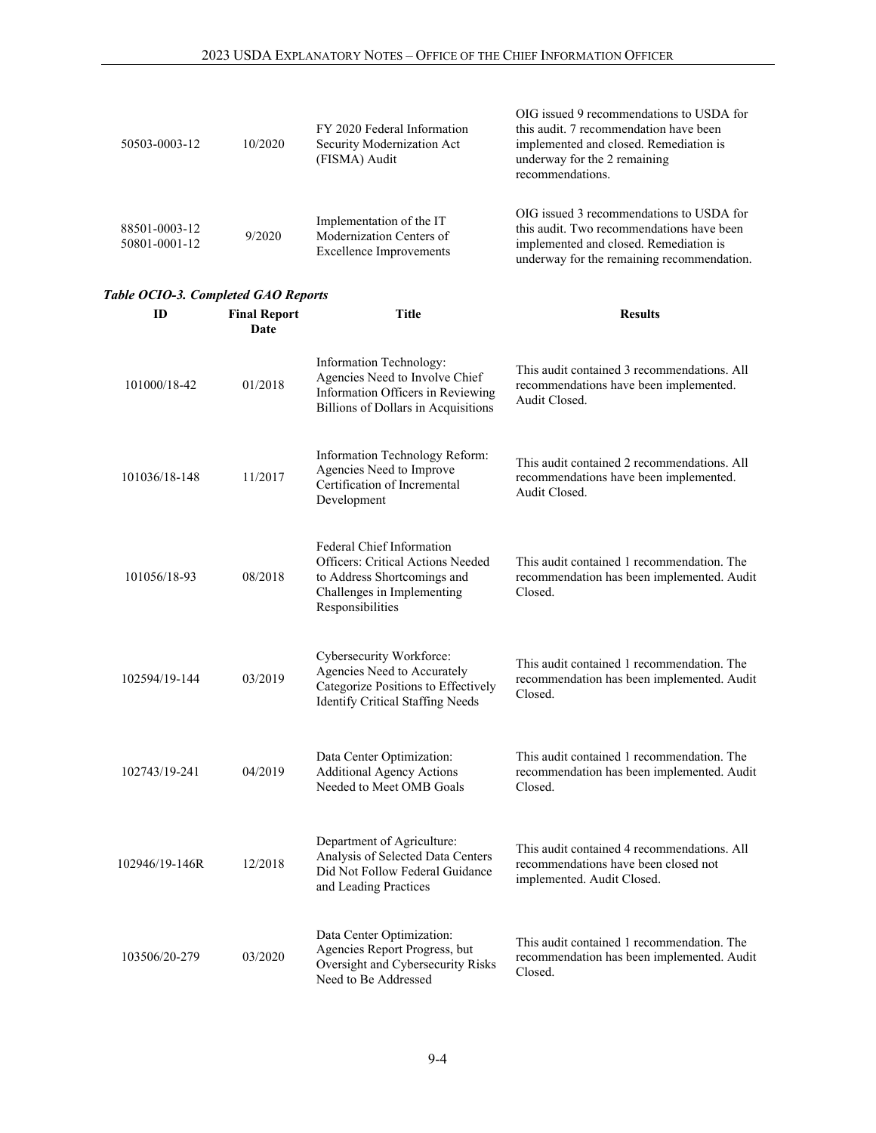| 50503-0003-12                  | 10/2020 | FY 2020 Federal Information<br>Security Modernization Act<br>(FISMA) Audit             | OIG issued 9 recommendations to USDA for<br>this audit. 7 recommendation have been<br>implemented and closed. Remediation is<br>underway for the 2 remaining<br>recommendations. |
|--------------------------------|---------|----------------------------------------------------------------------------------------|----------------------------------------------------------------------------------------------------------------------------------------------------------------------------------|
| 88501-0003-12<br>50801-0001-12 | 9/2020  | Implementation of the IT<br>Modernization Centers of<br><b>Excellence Improvements</b> | OIG issued 3 recommendations to USDA for<br>this audit. Two recommendations have been<br>implemented and closed. Remediation is<br>underway for the remaining recommendation.    |

#### *Table OCIO-3. Completed GAO Reports*

| ID             | <b>Final Report</b><br>Date | Title                                                                                                                                           | <b>Results</b>                                                                                                    |
|----------------|-----------------------------|-------------------------------------------------------------------------------------------------------------------------------------------------|-------------------------------------------------------------------------------------------------------------------|
| 101000/18-42   | 01/2018                     | Information Technology:<br>Agencies Need to Involve Chief<br>Information Officers in Reviewing<br>Billions of Dollars in Acquisitions           | This audit contained 3 recommendations. All<br>recommendations have been implemented.<br>Audit Closed.            |
| 101036/18-148  | 11/2017                     | Information Technology Reform:<br>Agencies Need to Improve<br>Certification of Incremental<br>Development                                       | This audit contained 2 recommendations. All<br>recommendations have been implemented.<br>Audit Closed.            |
| 101056/18-93   | 08/2018                     | Federal Chief Information<br>Officers: Critical Actions Needed<br>to Address Shortcomings and<br>Challenges in Implementing<br>Responsibilities | This audit contained 1 recommendation. The<br>recommendation has been implemented. Audit<br>Closed.               |
| 102594/19-144  | 03/2019                     | Cybersecurity Workforce:<br>Agencies Need to Accurately<br>Categorize Positions to Effectively<br><b>Identify Critical Staffing Needs</b>       | This audit contained 1 recommendation. The<br>recommendation has been implemented. Audit<br>Closed.               |
| 102743/19-241  | 04/2019                     | Data Center Optimization:<br><b>Additional Agency Actions</b><br>Needed to Meet OMB Goals                                                       | This audit contained 1 recommendation. The<br>recommendation has been implemented. Audit<br>Closed.               |
| 102946/19-146R | 12/2018                     | Department of Agriculture:<br>Analysis of Selected Data Centers<br>Did Not Follow Federal Guidance<br>and Leading Practices                     | This audit contained 4 recommendations. All<br>recommendations have been closed not<br>implemented. Audit Closed. |
| 103506/20-279  | 03/2020                     | Data Center Optimization:<br>Agencies Report Progress, but<br>Oversight and Cybersecurity Risks<br>Need to Be Addressed                         | This audit contained 1 recommendation. The<br>recommendation has been implemented. Audit<br>Closed.               |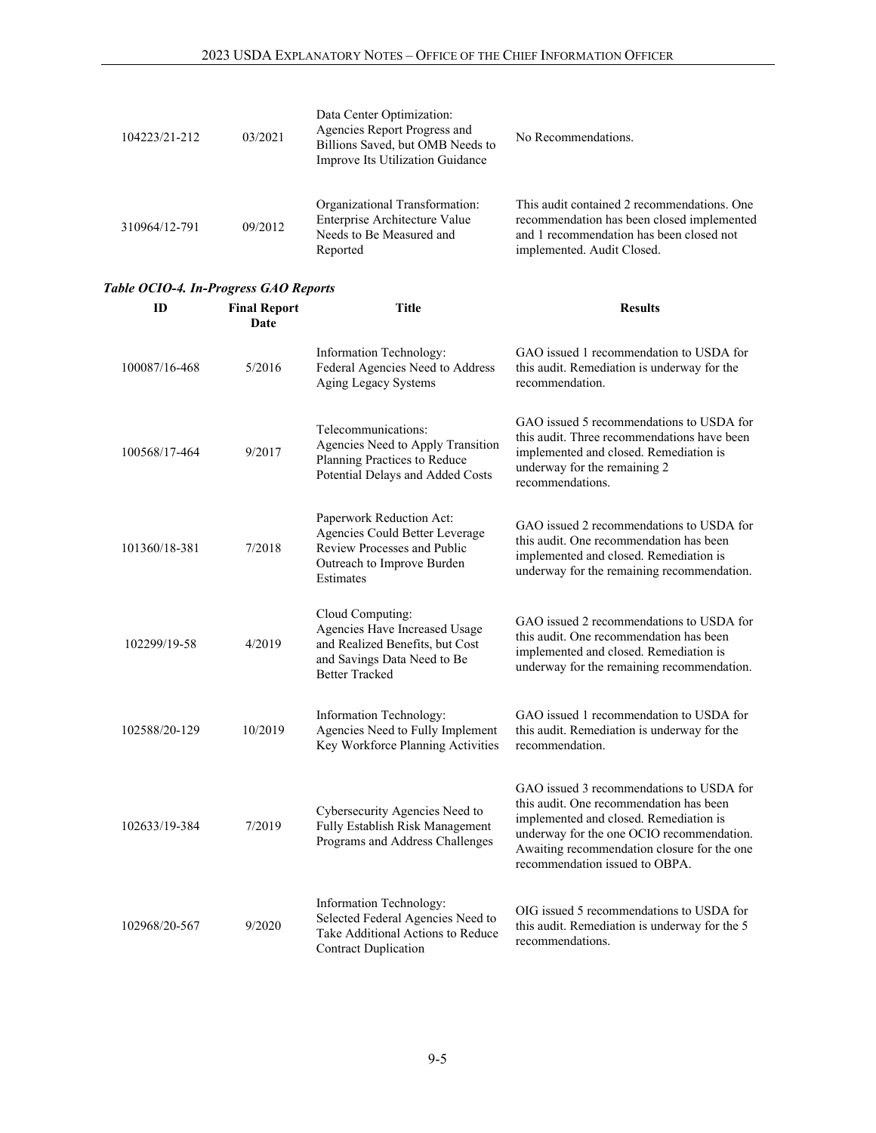| 104223/21-212 | 03/2021 | Data Center Optimization:<br>Agencies Report Progress and<br>Billions Saved, but OMB Needs to<br>Improve Its Utilization Guidance | No Recommendations.                                                                                                                                                 |
|---------------|---------|-----------------------------------------------------------------------------------------------------------------------------------|---------------------------------------------------------------------------------------------------------------------------------------------------------------------|
| 310964/12-791 | 09/2012 | Organizational Transformation:<br>Enterprise Architecture Value<br>Needs to Be Measured and<br>Reported                           | This audit contained 2 recommendations. One<br>recommendation has been closed implemented<br>and 1 recommendation has been closed not<br>implemented. Audit Closed. |

# *Table OCIO-4. In-Progress GAO Reports*

| ID            | <b>Final Report</b><br><b>Date</b> | Title                                                                                                                                        | <b>Results</b>                                                                                                                                                                                                                                              |
|---------------|------------------------------------|----------------------------------------------------------------------------------------------------------------------------------------------|-------------------------------------------------------------------------------------------------------------------------------------------------------------------------------------------------------------------------------------------------------------|
| 100087/16-468 | 5/2016                             | Information Technology:<br>Federal Agencies Need to Address<br>Aging Legacy Systems                                                          | GAO issued 1 recommendation to USDA for<br>this audit. Remediation is underway for the<br>recommendation.                                                                                                                                                   |
| 100568/17-464 | 9/2017                             | Telecommunications:<br>Agencies Need to Apply Transition<br>Planning Practices to Reduce<br>Potential Delays and Added Costs                 | GAO issued 5 recommendations to USDA for<br>this audit. Three recommendations have been<br>implemented and closed. Remediation is<br>underway for the remaining 2<br>recommendations.                                                                       |
| 101360/18-381 | 7/2018                             | Paperwork Reduction Act:<br>Agencies Could Better Leverage<br>Review Processes and Public<br>Outreach to Improve Burden<br>Estimates         | GAO issued 2 recommendations to USDA for<br>this audit. One recommendation has been<br>implemented and closed. Remediation is<br>underway for the remaining recommendation.                                                                                 |
| 102299/19-58  | 4/2019                             | Cloud Computing:<br>Agencies Have Increased Usage<br>and Realized Benefits, but Cost<br>and Savings Data Need to Be<br><b>Better Tracked</b> | GAO issued 2 recommendations to USDA for<br>this audit. One recommendation has been<br>implemented and closed. Remediation is<br>underway for the remaining recommendation.                                                                                 |
| 102588/20-129 | 10/2019                            | Information Technology:<br>Agencies Need to Fully Implement<br>Key Workforce Planning Activities                                             | GAO issued 1 recommendation to USDA for<br>this audit. Remediation is underway for the<br>recommendation.                                                                                                                                                   |
| 102633/19-384 | 7/2019                             | Cybersecurity Agencies Need to<br>Fully Establish Risk Management<br>Programs and Address Challenges                                         | GAO issued 3 recommendations to USDA for<br>this audit. One recommendation has been<br>implemented and closed. Remediation is<br>underway for the one OCIO recommendation.<br>Awaiting recommendation closure for the one<br>recommendation issued to OBPA. |
| 102968/20-567 | 9/2020                             | Information Technology:<br>Selected Federal Agencies Need to<br>Take Additional Actions to Reduce<br><b>Contract Duplication</b>             | OIG issued 5 recommendations to USDA for<br>this audit. Remediation is underway for the 5<br>recommendations.                                                                                                                                               |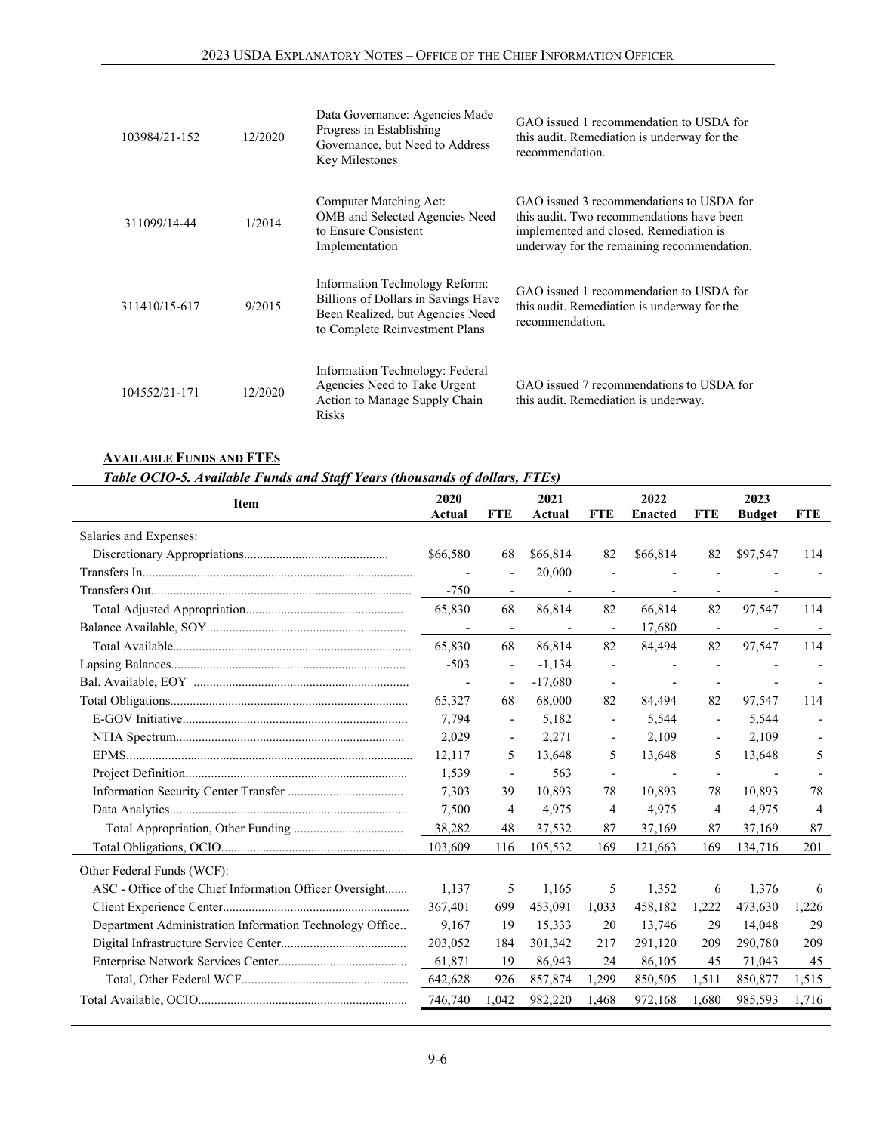| 103984/21-152 | 12/2020 | Data Governance: Agencies Made<br>Progress in Establishing<br>Governance, but Need to Address<br>Key Milestones                             | GAO issued 1 recommendation to USDA for<br>this audit. Remediation is underway for the<br>recommendation.                                                                     |
|---------------|---------|---------------------------------------------------------------------------------------------------------------------------------------------|-------------------------------------------------------------------------------------------------------------------------------------------------------------------------------|
| 311099/14-44  | 1/2014  | Computer Matching Act:<br>OMB and Selected Agencies Need<br>to Ensure Consistent<br>Implementation                                          | GAO issued 3 recommendations to USDA for<br>this audit. Two recommendations have been<br>implemented and closed. Remediation is<br>underway for the remaining recommendation. |
| 311410/15-617 | 9/2015  | Information Technology Reform:<br>Billions of Dollars in Savings Have<br>Been Realized, but Agencies Need<br>to Complete Reinvestment Plans | GAO issued 1 recommendation to USDA for<br>this audit. Remediation is underway for the<br>recommendation.                                                                     |
| 104552/21-171 | 12/2020 | Information Technology: Federal<br>Agencies Need to Take Urgent<br>Action to Manage Supply Chain<br><b>Risks</b>                            | GAO issued 7 recommendations to USDA for<br>this audit. Remediation is underway.                                                                                              |

#### **AVAILABLE FUNDS AND FTES**

*Table OCIO-5. Available Funds and Staff Years (thousands of dollars, FTEs)* 

| Item                                                    | 2020<br>Actual           | <b>FTE</b>               | 2021<br>Actual           | <b>FTE</b>                   | 2022<br><b>Enacted</b>   | <b>FTE</b>               | 2023<br><b>Budget</b> | <b>FTE</b> |
|---------------------------------------------------------|--------------------------|--------------------------|--------------------------|------------------------------|--------------------------|--------------------------|-----------------------|------------|
| Salaries and Expenses:                                  |                          |                          |                          |                              |                          |                          |                       |            |
|                                                         | \$66,580                 | 68                       | \$66,814                 | 82                           | \$66,814                 | 82                       | \$97,547              | 114        |
|                                                         |                          |                          | 20,000                   |                              |                          |                          |                       |            |
|                                                         | $-750$                   | $\overline{\phantom{a}}$ | $\overline{\phantom{a}}$ | $\overline{\phantom{a}}$     | $\overline{\phantom{a}}$ | $\overline{\phantom{a}}$ |                       |            |
|                                                         | 65,830                   | 68                       | 86,814                   | 82                           | 66,814                   | 82                       | 97,547                | 114        |
|                                                         |                          | $\overline{\phantom{a}}$ |                          | $\overline{\phantom{a}}$     | 17,680                   | $\overline{\phantom{a}}$ |                       |            |
|                                                         | 65,830                   | 68                       | 86,814                   | 82                           | 84,494                   | 82                       | 97,547                | 114        |
|                                                         | $-503$                   | $\overline{\phantom{a}}$ | $-1,134$                 | $\overline{\phantom{a}}$     |                          | $\blacksquare$           |                       |            |
|                                                         | $\overline{\phantom{a}}$ | $\overline{\phantom{a}}$ | $-17,680$                |                              |                          |                          |                       |            |
|                                                         | 65,327                   | 68                       | 68,000                   | 82                           | 84,494                   | 82                       | 97,547                | 114        |
|                                                         | 7,794                    | $\overline{\phantom{a}}$ | 5,182                    | $\qquad \qquad \blacksquare$ | 5,544                    | $\overline{\phantom{a}}$ | 5,544                 |            |
|                                                         | 2,029                    | $\overline{\phantom{a}}$ | 2,271                    | $\overline{\phantom{a}}$     | 2,109                    | $\overline{\phantom{a}}$ | 2,109                 |            |
|                                                         | 12,117                   | 5                        | 13,648                   | 5                            | 13,648                   | 5                        | 13,648                | 5          |
|                                                         | 1,539                    | $\overline{\phantom{a}}$ | 563                      |                              |                          |                          |                       |            |
|                                                         | 7,303                    | 39                       | 10,893                   | 78                           | 10,893                   | 78                       | 10,893                | 78         |
|                                                         | 7,500                    | 4                        | 4,975                    | 4                            | 4,975                    | 4                        | 4,975                 | 4          |
|                                                         | 38,282                   | 48                       | 37,532                   | 87                           | 37.169                   | 87                       | 37,169                | 87         |
|                                                         | 103,609                  | 116                      | 105,532                  | 169                          | 121,663                  | 169                      | 134,716               | 201        |
| Other Federal Funds (WCF):                              |                          |                          |                          |                              |                          |                          |                       |            |
| ASC - Office of the Chief Information Officer Oversight | 1.137                    | 5                        | 1,165                    | 5                            | 1,352                    | 6                        | 1,376                 | 6          |
|                                                         | 367,401                  | 699                      | 453,091                  | 1,033                        | 458,182                  | 1,222                    | 473,630               | 1,226      |
| Department Administration Information Technology Office | 9,167                    | 19                       | 15,333                   | 20                           | 13,746                   | 29                       | 14,048                | 29         |
|                                                         | 203,052                  | 184                      | 301,342                  | 217                          | 291,120                  | 209                      | 290,780               | 209        |
|                                                         | 61,871                   | 19                       | 86,943                   | 24                           | 86,105                   | 45                       | 71,043                | 45         |
|                                                         | 642,628                  | 926                      | 857,874                  | 1,299                        | 850,505                  | 1,511                    | 850,877               | 1,515      |
|                                                         | 746,740                  | 1,042                    | 982,220                  | 1,468                        | 972,168                  | 1,680                    | 985,593               | 1,716      |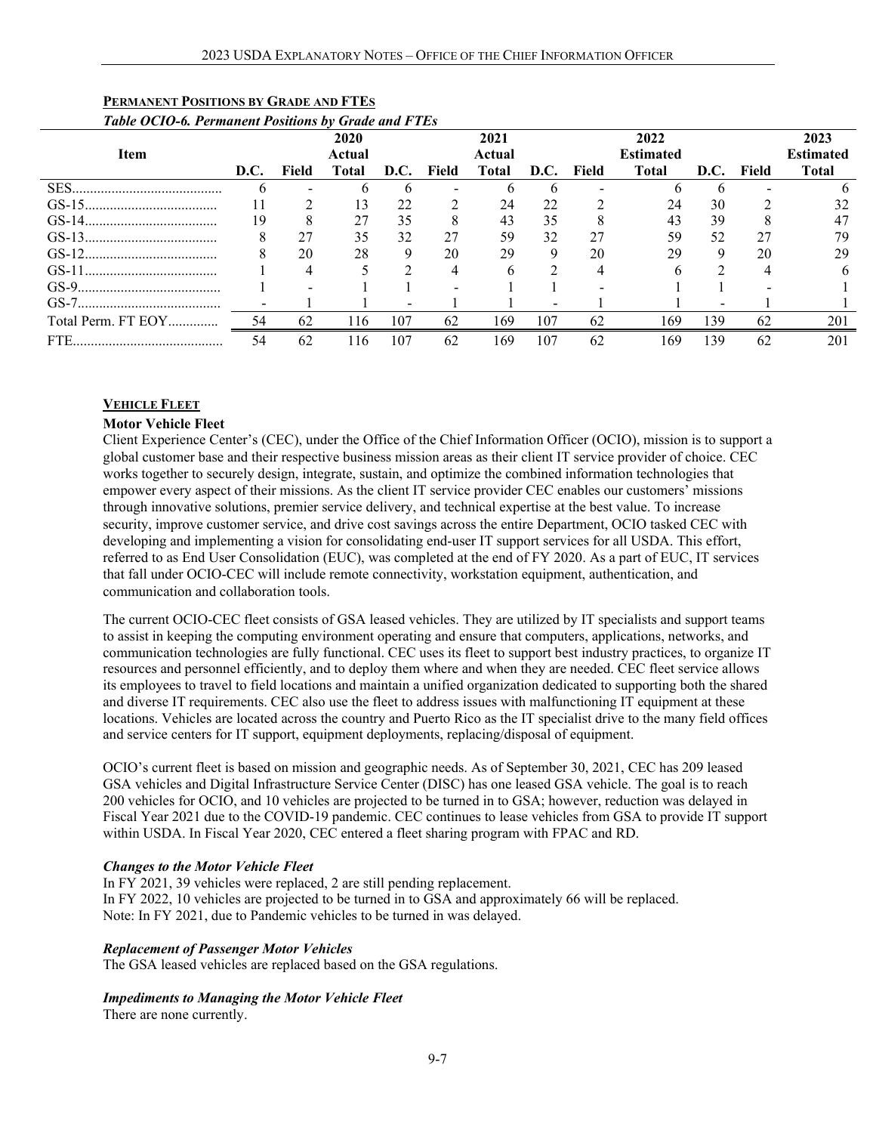| Table OCIO-6. Permanent Positions by Grade and FTEs |      |       |                |      |       |                |      |       |                          |      |       |                          |
|-----------------------------------------------------|------|-------|----------------|------|-------|----------------|------|-------|--------------------------|------|-------|--------------------------|
| <b>Item</b>                                         |      |       | 2020<br>Actual |      |       | 2021<br>Actual |      |       | 2022<br><b>Estimated</b> |      |       | 2023<br><b>Estimated</b> |
|                                                     | D.C. | Field | Total          | D.C. | Field | Total          | D.C. | Field | Total                    | D.C. | Field | <b>Total</b>             |
| SES                                                 |      |       |                |      |       |                |      |       |                          |      |       |                          |
|                                                     |      |       | 13             | 22   |       | 24             | 22   |       | 24                       | 30   |       | 32                       |
|                                                     | 19   | 8     | 27             | 35   |       | 43             | 35   |       | 43                       | 39   | 8     | 47                       |
|                                                     |      | 27    | 35             | 32   | 27    | 59             | 32   | 27    | 59                       | 52   | 27    | 79                       |
|                                                     |      | 20    | 28             | 9    | 20    | 29             | 9    | 20    | 29                       | 9    | 20    | 29                       |
|                                                     |      | 4     |                |      | 4     | h              |      | 4     | h                        | C    | 4     | 6                        |
|                                                     |      |       |                |      |       |                |      |       |                          |      |       |                          |
|                                                     |      |       |                |      |       |                |      |       |                          |      |       |                          |
| Total Perm. FT EOY                                  | 54   | 62    | 116            | 107  | 62    | 169            | 107  | 62    | 169                      | 139  | 62    | 201                      |
|                                                     | 54   | 62    | 116            | 107  | 62    | 169            | 107  | 62    | 169                      | 139  | 62    | 201                      |

## **PERMANENT POSITIONS BY GRADE AND FTES**

#### **VEHICLE FLEET**

#### **Motor Vehicle Fleet**

Client Experience Center's (CEC), under the Office of the Chief Information Officer (OCIO), mission is to support a global customer base and their respective business mission areas as their client IT service provider of choice. CEC works together to securely design, integrate, sustain, and optimize the combined information technologies that empower every aspect of their missions. As the client IT service provider CEC enables our customers' missions through innovative solutions, premier service delivery, and technical expertise at the best value. To increase security, improve customer service, and drive cost savings across the entire Department, OCIO tasked CEC with developing and implementing a vision for consolidating end-user IT support services for all USDA. This effort, referred to as End User Consolidation (EUC), was completed at the end of FY 2020. As a part of EUC, IT services that fall under OCIO-CEC will include remote connectivity, workstation equipment, authentication, and communication and collaboration tools.

The current OCIO-CEC fleet consists of GSA leased vehicles. They are utilized by IT specialists and support teams to assist in keeping the computing environment operating and ensure that computers, applications, networks, and communication technologies are fully functional. CEC uses its fleet to support best industry practices, to organize IT resources and personnel efficiently, and to deploy them where and when they are needed. CEC fleet service allows its employees to travel to field locations and maintain a unified organization dedicated to supporting both the shared and diverse IT requirements. CEC also use the fleet to address issues with malfunctioning IT equipment at these locations. Vehicles are located across the country and Puerto Rico as the IT specialist drive to the many field offices and service centers for IT support, equipment deployments, replacing/disposal of equipment.

OCIO's current fleet is based on mission and geographic needs. As of September 30, 2021, CEC has 209 leased GSA vehicles and Digital Infrastructure Service Center (DISC) has one leased GSA vehicle. The goal is to reach 200 vehicles for OCIO, and 10 vehicles are projected to be turned in to GSA; however, reduction was delayed in Fiscal Year 2021 due to the COVID-19 pandemic. CEC continues to lease vehicles from GSA to provide IT support within USDA. In Fiscal Year 2020, CEC entered a fleet sharing program with FPAC and RD.

#### *Changes to the Motor Vehicle Fleet*

In FY 2021, 39 vehicles were replaced, 2 are still pending replacement. In FY 2022, 10 vehicles are projected to be turned in to GSA and approximately 66 will be replaced. Note: In FY 2021, due to Pandemic vehicles to be turned in was delayed.

#### *Replacement of Passenger Motor Vehicles*

The GSA leased vehicles are replaced based on the GSA regulations.

#### *Impediments to Managing the Motor Vehicle Fleet*

There are none currently.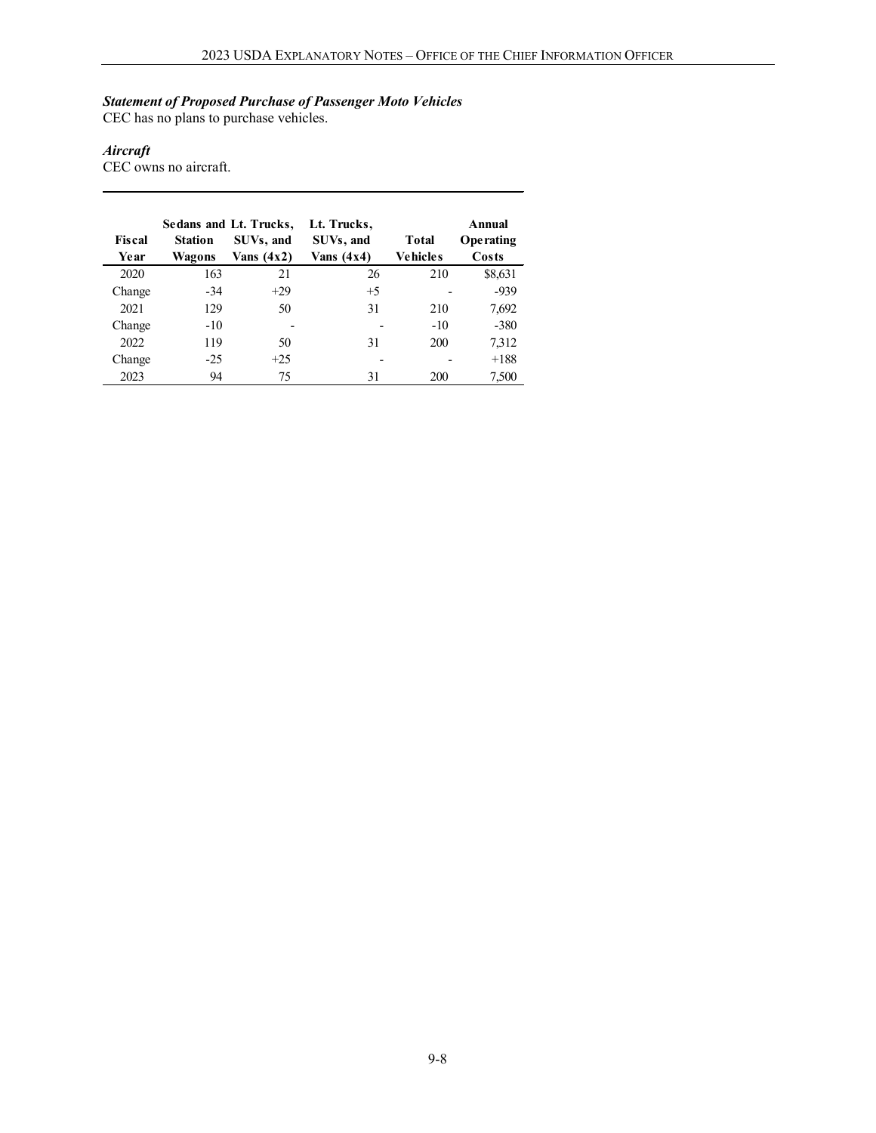#### *Statement of Proposed Purchase of Passenger Moto Vehicles*

CEC has no plans to purchase vehicles.

#### *Aircraft*

CEC owns no aircraft.

|        |                | Sedans and Lt. Trucks, | Lt. Trucks,  |                 | Annual    |
|--------|----------------|------------------------|--------------|-----------------|-----------|
| Fiscal | <b>Station</b> | SUVs, and              | SUVs, and    | Total           | Operating |
| Year   | Wagons         | Vans $(4x2)$           | Vans $(4x4)$ | <b>Vehicles</b> | Costs     |
| 2020   | 163            | 21                     | 26           | 210             | \$8,631   |
| Change | -34            | $+29$                  | $+5$         |                 | $-939$    |
| 2021   | 129            | 50                     | 31           | 210             | 7,692     |
| Change | $-10$          |                        |              | $-10$           | $-380$    |
| 2022   | 119            | 50                     | 31           | 200             | 7,312     |
| Change | $-25$          | $+25$                  |              |                 | $+188$    |
| 2023   | 94             | 75                     | 31           | 200             | 7,500     |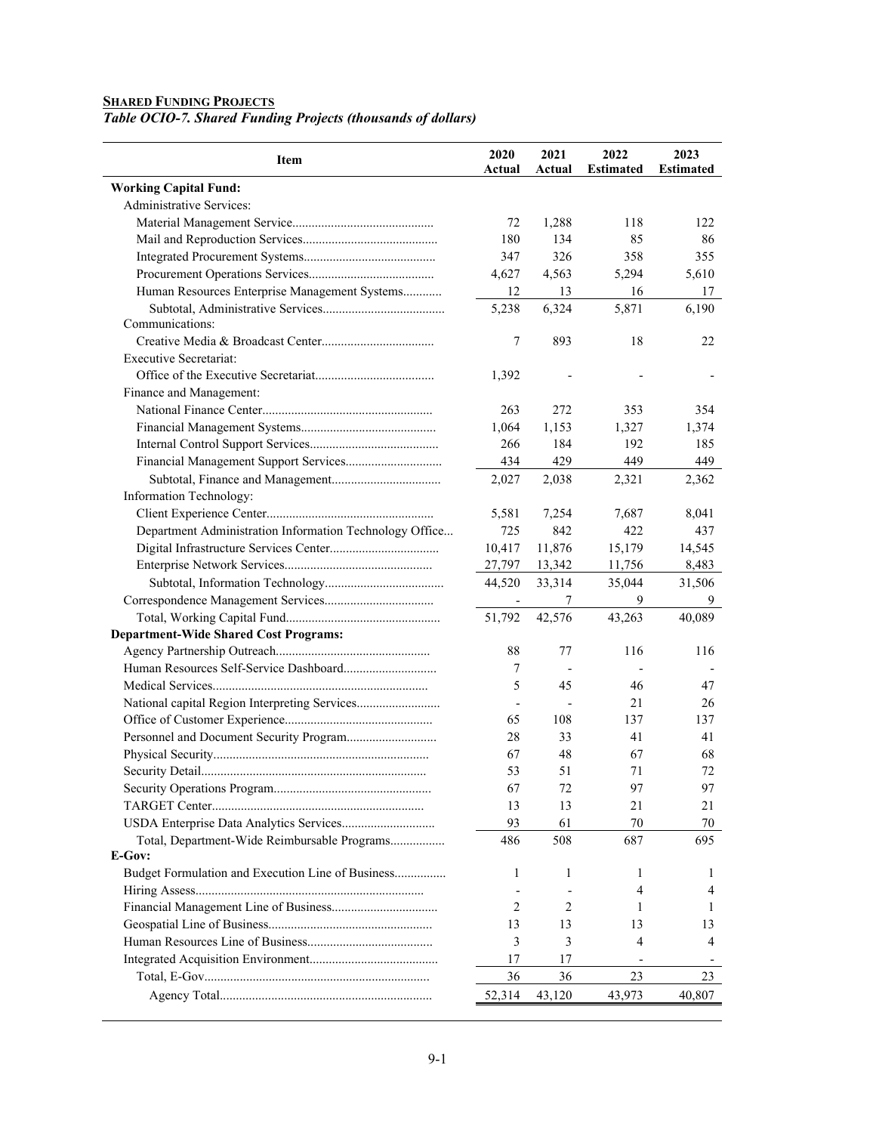#### **SHARED FUNDING PROJECTS**

*Table OCIO-7. Shared Funding Projects (thousands of dollars)*

| Item                                                    | 2020<br>Actual           | 2021<br>Actual | 2022<br><b>Estimated</b> | 2023<br><b>Estimated</b> |
|---------------------------------------------------------|--------------------------|----------------|--------------------------|--------------------------|
| <b>Working Capital Fund:</b>                            |                          |                |                          |                          |
| Administrative Services:                                |                          |                |                          |                          |
|                                                         | 72                       | 1,288          | 118                      | 122                      |
|                                                         | 180                      | 134            | 85                       | 86                       |
|                                                         | 347                      | 326            | 358                      | 355                      |
|                                                         | 4,627                    | 4,563          | 5,294                    | 5,610                    |
| Human Resources Enterprise Management Systems           | 12                       | 13             | 16                       | 17                       |
|                                                         | 5,238                    | 6,324          | 5,871                    | 6,190                    |
| Communications:                                         |                          |                |                          |                          |
|                                                         | 7                        | 893            | 18                       | 22                       |
| <b>Executive Secretariat:</b>                           |                          |                |                          |                          |
|                                                         | 1,392                    |                |                          |                          |
| Finance and Management:                                 |                          |                |                          |                          |
|                                                         | 263                      | 272            | 353                      | 354                      |
|                                                         | 1,064                    | 1,153          | 1,327                    | 1,374                    |
|                                                         | 266                      | 184            | 192                      | 185                      |
|                                                         | 434                      | 429            | 449                      | 449                      |
|                                                         | 2,027                    | 2,038          | 2,321                    | 2,362                    |
| Information Technology:                                 |                          |                |                          |                          |
|                                                         | 5,581                    | 7.254          | 7,687                    | 8,041                    |
| Department Administration Information Technology Office | 725                      | 842            | 422                      | 437                      |
|                                                         | 10,417                   | 11,876         | 15,179                   | 14,545                   |
|                                                         | 27,797                   | 13,342         | 11,756                   | 8,483                    |
|                                                         | 44,520                   | 33,314         | 35,044                   | 31,506                   |
|                                                         | $\overline{\phantom{a}}$ | 7              | 9                        | 9                        |
|                                                         | 51,792                   | 42,576         | 43,263                   | 40,089                   |
| <b>Department-Wide Shared Cost Programs:</b>            |                          |                |                          |                          |
|                                                         | 88                       | 77             | 116                      | 116                      |
|                                                         | 7                        |                |                          |                          |
|                                                         | 5                        | 45             | 46                       | 47                       |
|                                                         |                          |                | 21                       | 26                       |
|                                                         | 65                       | 108            | 137                      | 137                      |
|                                                         | 28                       | 33             | 41                       | 41                       |
|                                                         | 67                       | 48             | 67                       | 68                       |
|                                                         | 53                       | 51             | 71                       | 72                       |
|                                                         | 67                       | 72             | 97                       | 97                       |
|                                                         | 13                       | 13             | 21                       | 21                       |
|                                                         | 93                       | 61             | 70                       | 70                       |
| Total, Department-Wide Reimbursable Programs            | 486                      | 508            | 687                      | 695                      |
| E-Gov:                                                  |                          |                |                          |                          |
| Budget Formulation and Execution Line of Business       | 1                        | 1              | 1                        | 1                        |
|                                                         |                          |                | 4                        | 4                        |
|                                                         | 2                        | 2              | 1                        | 1                        |
|                                                         | 13                       | 13             | 13                       | 13                       |
|                                                         | 3                        | 3              | 4                        | 4                        |
|                                                         | 17                       | 17             |                          |                          |
|                                                         |                          |                |                          |                          |
|                                                         | 36                       | 36             | 23                       | 23                       |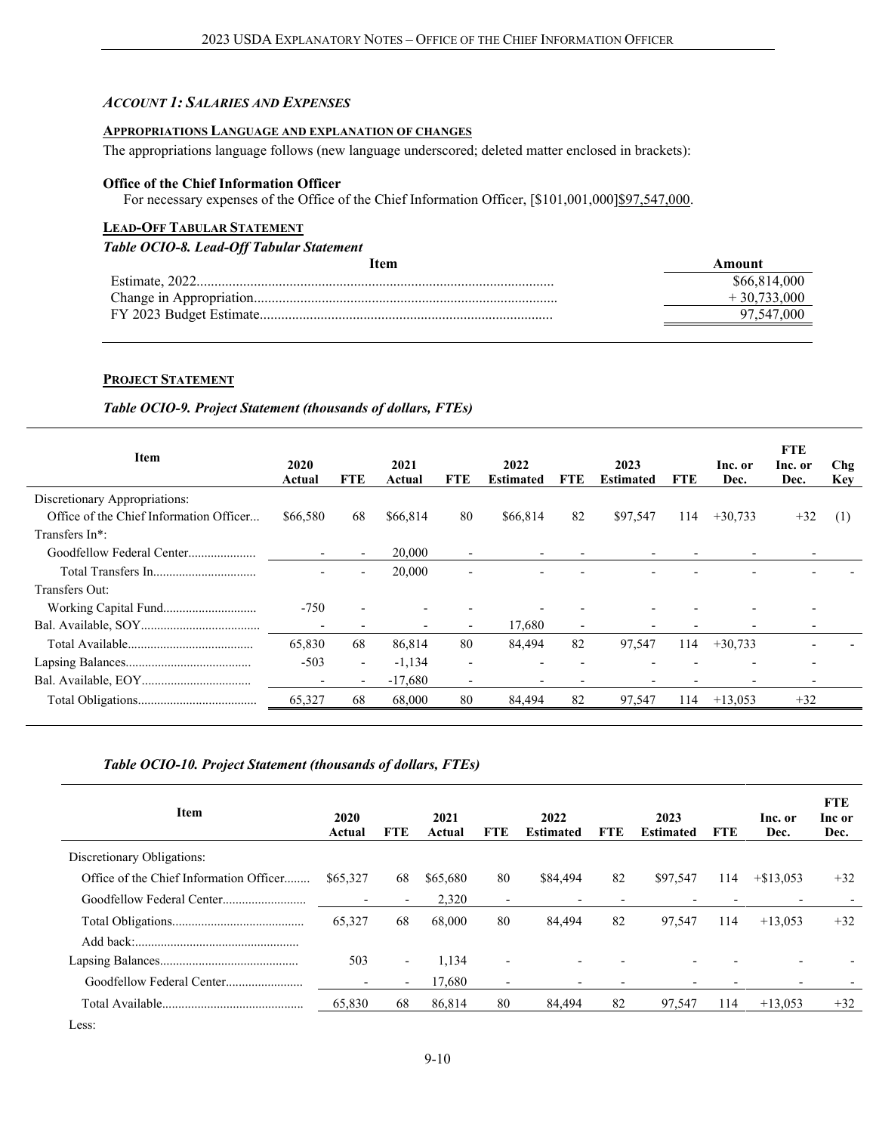#### *ACCOUNT 1: SALARIES AND EXPENSES*

#### **APPROPRIATIONS LANGUAGE AND EXPLANATION OF CHANGES**

The appropriations language follows (new language underscored; deleted matter enclosed in brackets):

#### **Office of the Chief Information Officer**

For necessary expenses of the Office of the Chief Information Officer, [\$101,001,000]\$97,547,000.

## **LEAD-OFF TABULAR STATEMENT**

## *Table OCIO-8. Lead-Off Tabular Statement*

| Item | Amount        |
|------|---------------|
|      | \$66,814,000  |
|      | $+30,733,000$ |
|      | 97,547,000    |
|      |               |

#### **PROJECT STATEMENT**

#### *Table OCIO-9. Project Statement (thousands of dollars, FTEs)*

| Item                                    | 2020<br>Actual           | FTE                      | 2021<br>Actual | FTE                      | 2022<br><b>Estimated</b> | FTE.                     | 2023<br><b>Estimated</b> | <b>FTE</b> | Inc. or<br>Dec.          | <b>FTE</b><br>Inc. or<br>Dec. | Chg<br><b>Key</b> |
|-----------------------------------------|--------------------------|--------------------------|----------------|--------------------------|--------------------------|--------------------------|--------------------------|------------|--------------------------|-------------------------------|-------------------|
| Discretionary Appropriations:           |                          |                          |                |                          |                          |                          |                          |            |                          |                               |                   |
| Office of the Chief Information Officer | \$66,580                 | 68                       | \$66,814       | 80                       | \$66,814                 | 82                       | \$97,547                 | 114        | $+30,733$                | $+32$                         | (1)               |
| Transfers In*:                          |                          |                          |                |                          |                          |                          |                          |            |                          |                               |                   |
|                                         | $\overline{\phantom{0}}$ | $\overline{\phantom{0}}$ | 20,000         | $\overline{\phantom{0}}$ |                          |                          |                          |            |                          |                               |                   |
|                                         | $\qquad \qquad$          | $\overline{\phantom{0}}$ | 20,000         | $\qquad \qquad$          |                          |                          |                          |            |                          |                               |                   |
| Transfers Out:                          |                          |                          |                |                          |                          |                          |                          |            |                          |                               |                   |
|                                         | $-750$                   |                          |                |                          |                          |                          |                          |            |                          |                               |                   |
|                                         | $\overline{\phantom{a}}$ |                          |                |                          | 17,680                   | $\overline{\phantom{0}}$ |                          |            | $\overline{\phantom{0}}$ |                               |                   |
|                                         | 65,830                   | 68                       | 86,814         | 80                       | 84,494                   | 82                       | 97,547                   | 114        | $+30,733$                |                               |                   |
|                                         | $-503$                   | $\overline{\phantom{a}}$ | $-1,134$       | $\overline{\phantom{a}}$ |                          |                          |                          |            |                          | $\overline{\phantom{0}}$      |                   |
|                                         | $\overline{\phantom{a}}$ | $\overline{\phantom{a}}$ | $-17,680$      | $\qquad \qquad$          |                          |                          |                          |            |                          |                               |                   |
|                                         | 65,327                   | 68                       | 68,000         | 80                       | 84,494                   | 82                       | 97,547                   | 114        | $+13,053$                | $+32$                         |                   |
|                                         |                          |                          |                |                          |                          |                          |                          |            |                          |                               |                   |

#### *Table OCIO-10. Project Statement (thousands of dollars, FTEs)*

| <b>Item</b>                             | 2020<br>Actual  | <b>FTE</b>               | 2021<br>Actual | <b>FTE</b>               | 2022<br><b>Estimated</b> | FTE | 2023<br><b>Estimated</b> | <b>FTE</b> | Inc. or<br>Dec. | <b>FTE</b><br>Inc or<br>Dec. |
|-----------------------------------------|-----------------|--------------------------|----------------|--------------------------|--------------------------|-----|--------------------------|------------|-----------------|------------------------------|
| Discretionary Obligations:              |                 |                          |                |                          |                          |     |                          |            |                 |                              |
| Office of the Chief Information Officer | \$65,327        | 68                       | \$65,680       | 80                       | \$84,494                 | 82  | \$97,547                 | 114        | $+\$13,053$     | $+32$                        |
|                                         |                 | $\overline{\phantom{a}}$ | 2,320          | $\overline{\phantom{a}}$ | $\overline{\phantom{a}}$ |     |                          |            |                 |                              |
|                                         | 65,327          | 68                       | 68,000         | 80                       | 84,494                   | 82  | 97,547                   | 114        | $+13,053$       | $+32$                        |
|                                         |                 |                          |                |                          |                          |     |                          |            |                 |                              |
|                                         | 503             | $\overline{\phantom{a}}$ | 1,134          |                          | $\overline{\phantom{0}}$ |     |                          |            |                 |                              |
|                                         | $\qquad \qquad$ | $\sim$                   | 17,680         | $\overline{\phantom{a}}$ | $\overline{\phantom{0}}$ |     |                          |            |                 |                              |
|                                         | 65,830          | 68                       | 86,814         | 80                       | 84.494                   | 82  | 97,547                   | 114        | $+13.053$       | $+32$                        |
|                                         |                 |                          |                |                          |                          |     |                          |            |                 |                              |

Less: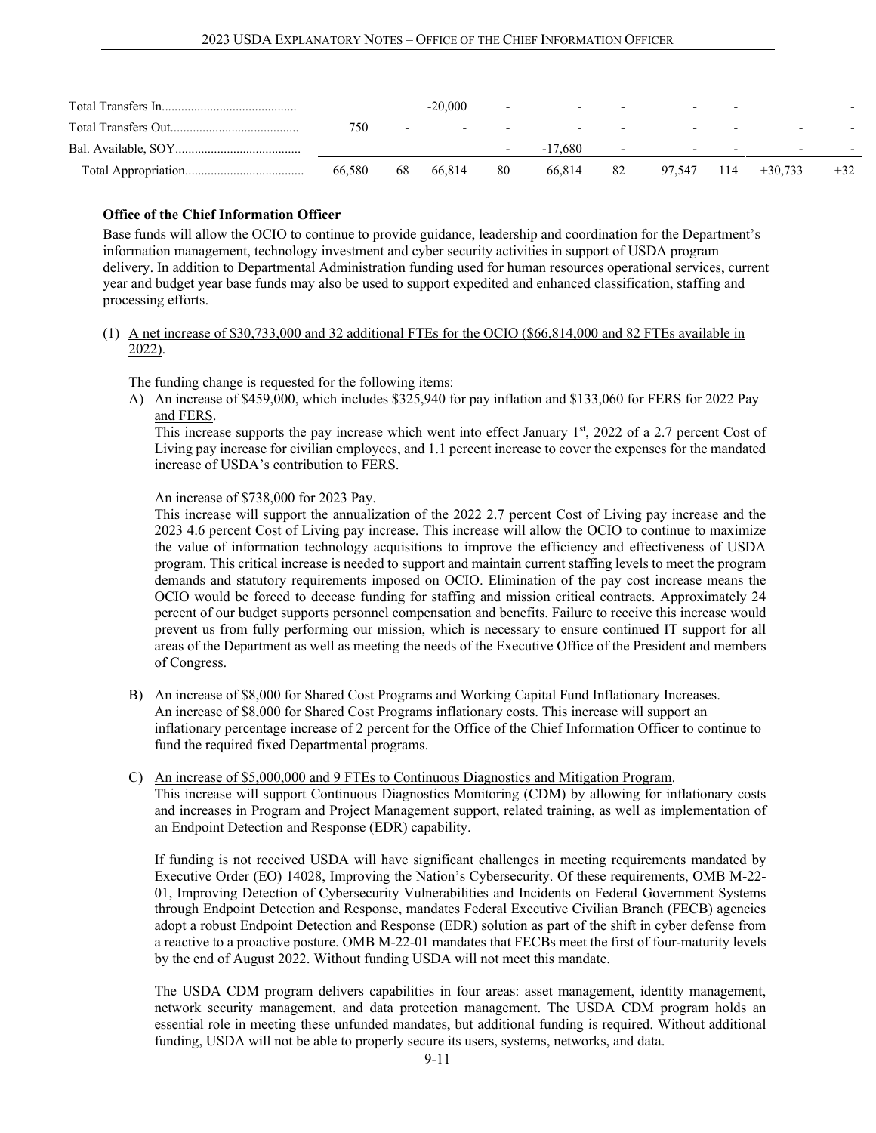|        |                          | $-20,000$ | $\overline{a}$           | $-$     | $\overline{\phantom{a}}$ | $\overline{\phantom{0}}$ | $\overline{\phantom{0}}$ |                          |       |
|--------|--------------------------|-----------|--------------------------|---------|--------------------------|--------------------------|--------------------------|--------------------------|-------|
| 750    | $\overline{\phantom{0}}$ | $\sim$    | $\overline{\phantom{0}}$ | $-$     | $\overline{\phantom{0}}$ | $\overline{\phantom{0}}$ | $\overline{\phantom{0}}$ | $\overline{\phantom{0}}$ |       |
|        |                          |           | $\overline{\phantom{0}}$ | -17.680 | $\overline{\phantom{0}}$ | $\overline{\phantom{a}}$ | $-$                      | $\overline{\phantom{0}}$ |       |
| 66.580 | 68                       | 66.814    | 80                       | 66.814  | 82                       | 97,547 114               |                          | $+30.733$                | $+32$ |

#### **Office of the Chief Information Officer**

Base funds will allow the OCIO to continue to provide guidance, leadership and coordination for the Department's information management, technology investment and cyber security activities in support of USDA program delivery. In addition to Departmental Administration funding used for human resources operational services, current year and budget year base funds may also be used to support expedited and enhanced classification, staffing and processing efforts.

#### (1) A net increase of \$30,733,000 and 32 additional FTEs for the OCIO (\$66,814,000 and 82 FTEs available in 2022).

The funding change is requested for the following items:

A) An increase of \$459,000, which includes \$325,940 for pay inflation and \$133,060 for FERS for 2022 Pay and FERS.

This increase supports the pay increase which went into effect January 1st, 2022 of a 2.7 percent Cost of Living pay increase for civilian employees, and 1.1 percent increase to cover the expenses for the mandated increase of USDA's contribution to FERS.

#### An increase of \$738,000 for 2023 Pay.

This increase will support the annualization of the 2022 2.7 percent Cost of Living pay increase and the 2023 4.6 percent Cost of Living pay increase. This increase will allow the OCIO to continue to maximize the value of information technology acquisitions to improve the efficiency and effectiveness of USDA program. This critical increase is needed to support and maintain current staffing levels to meet the program demands and statutory requirements imposed on OCIO. Elimination of the pay cost increase means the OCIO would be forced to decease funding for staffing and mission critical contracts. Approximately 24 percent of our budget supports personnel compensation and benefits. Failure to receive this increase would prevent us from fully performing our mission, which is necessary to ensure continued IT support for all areas of the Department as well as meeting the needs of the Executive Office of the President and members of Congress.

- B) An increase of \$8,000 for Shared Cost Programs and Working Capital Fund Inflationary Increases. An increase of \$8,000 for Shared Cost Programs inflationary costs. This increase will support an inflationary percentage increase of 2 percent for the Office of the Chief Information Officer to continue to fund the required fixed Departmental programs.
- C) An increase of \$5,000,000 and 9 FTEs to Continuous Diagnostics and Mitigation Program. This increase will support Continuous Diagnostics Monitoring (CDM) by allowing for inflationary costs and increases in Program and Project Management support, related training, as well as implementation of an Endpoint Detection and Response (EDR) capability.

If funding is not received USDA will have significant challenges in meeting requirements mandated by Executive Order (EO) 14028, Improving the Nation's Cybersecurity. Of these requirements, OMB M-22- 01, Improving Detection of Cybersecurity Vulnerabilities and Incidents on Federal Government Systems through Endpoint Detection and Response, mandates Federal Executive Civilian Branch (FECB) agencies adopt a robust Endpoint Detection and Response (EDR) solution as part of the shift in cyber defense from a reactive to a proactive posture. OMB M-22-01 mandates that FECBs meet the first of four-maturity levels by the end of August 2022. Without funding USDA will not meet this mandate.

The USDA CDM program delivers capabilities in four areas: asset management, identity management, network security management, and data protection management. The USDA CDM program holds an essential role in meeting these unfunded mandates, but additional funding is required. Without additional funding, USDA will not be able to properly secure its users, systems, networks, and data.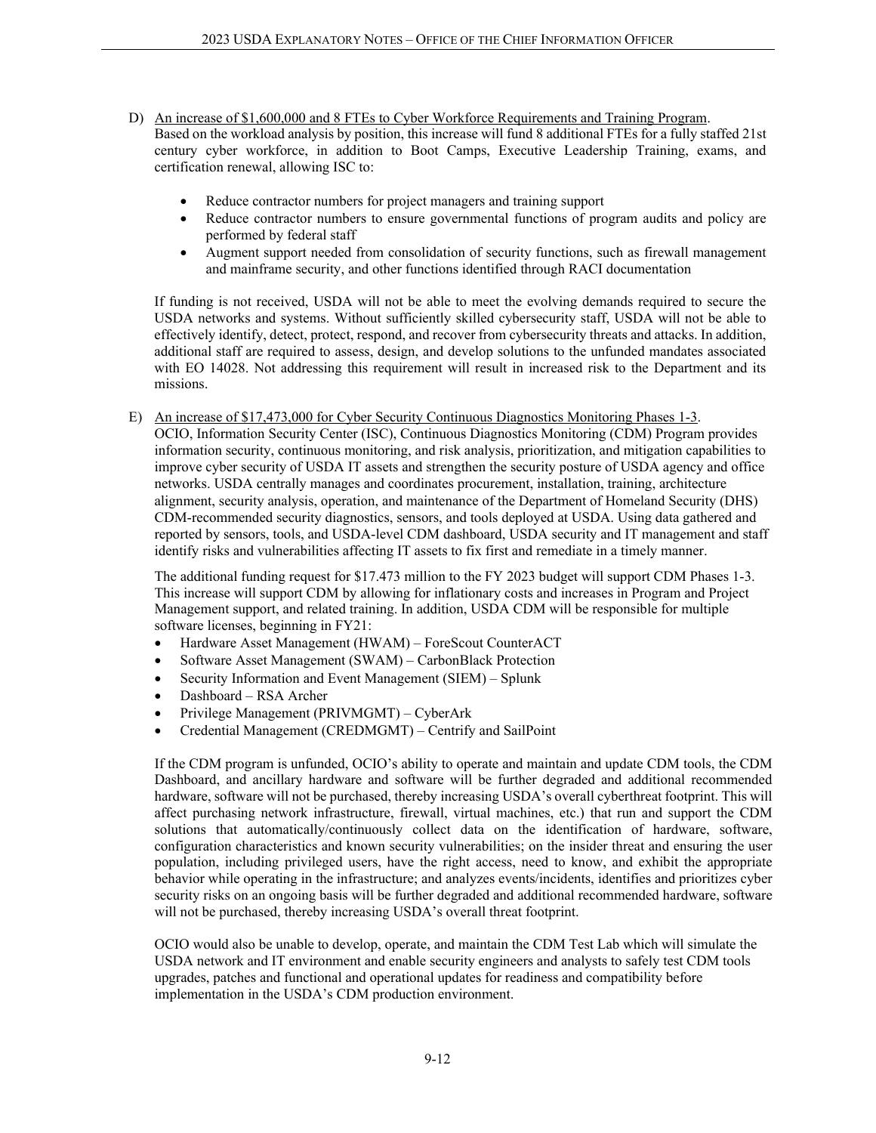- D) An increase of \$1,600,000 and 8 FTEs to Cyber Workforce Requirements and Training Program. Based on the workload analysis by position, this increase will fund 8 additional FTEs for a fully staffed 21st century cyber workforce, in addition to Boot Camps, Executive Leadership Training, exams, and certification renewal, allowing ISC to:
	- Reduce contractor numbers for project managers and training support
	- Reduce contractor numbers to ensure governmental functions of program audits and policy are performed by federal staff
	- Augment support needed from consolidation of security functions, such as firewall management and mainframe security, and other functions identified through RACI documentation

If funding is not received, USDA will not be able to meet the evolving demands required to secure the USDA networks and systems. Without sufficiently skilled cybersecurity staff, USDA will not be able to effectively identify, detect, protect, respond, and recover from cybersecurity threats and attacks. In addition, additional staff are required to assess, design, and develop solutions to the unfunded mandates associated with EO 14028. Not addressing this requirement will result in increased risk to the Department and its missions.

E) An increase of \$17,473,000 for Cyber Security Continuous Diagnostics Monitoring Phases 1-3. OCIO, Information Security Center (ISC), Continuous Diagnostics Monitoring (CDM) Program provides information security, continuous monitoring, and risk analysis, prioritization, and mitigation capabilities to improve cyber security of USDA IT assets and strengthen the security posture of USDA agency and office networks. USDA centrally manages and coordinates procurement, installation, training, architecture alignment, security analysis, operation, and maintenance of the Department of Homeland Security (DHS) CDM-recommended security diagnostics, sensors, and tools deployed at USDA. Using data gathered and reported by sensors, tools, and USDA-level CDM dashboard, USDA security and IT management and staff identify risks and vulnerabilities affecting IT assets to fix first and remediate in a timely manner.

The additional funding request for \$17.473 million to the FY 2023 budget will support CDM Phases 1-3. This increase will support CDM by allowing for inflationary costs and increases in Program and Project Management support, and related training. In addition, USDA CDM will be responsible for multiple software licenses, beginning in FY21:

- Hardware Asset Management (HWAM) ForeScout CounterACT
- Software Asset Management (SWAM) CarbonBlack Protection
- Security Information and Event Management (SIEM) Splunk
- Dashboard RSA Archer
- Privilege Management (PRIVMGMT) CyberArk
- Credential Management (CREDMGMT) Centrify and SailPoint

If the CDM program is unfunded, OCIO's ability to operate and maintain and update CDM tools, the CDM Dashboard, and ancillary hardware and software will be further degraded and additional recommended hardware, software will not be purchased, thereby increasing USDA's overall cyberthreat footprint. This will affect purchasing network infrastructure, firewall, virtual machines, etc.) that run and support the CDM solutions that automatically/continuously collect data on the identification of hardware, software, configuration characteristics and known security vulnerabilities; on the insider threat and ensuring the user population, including privileged users, have the right access, need to know, and exhibit the appropriate behavior while operating in the infrastructure; and analyzes events/incidents, identifies and prioritizes cyber security risks on an ongoing basis will be further degraded and additional recommended hardware, software will not be purchased, thereby increasing USDA's overall threat footprint.

OCIO would also be unable to develop, operate, and maintain the CDM Test Lab which will simulate the USDA network and IT environment and enable security engineers and analysts to safely test CDM tools upgrades, patches and functional and operational updates for readiness and compatibility before implementation in the USDA's CDM production environment.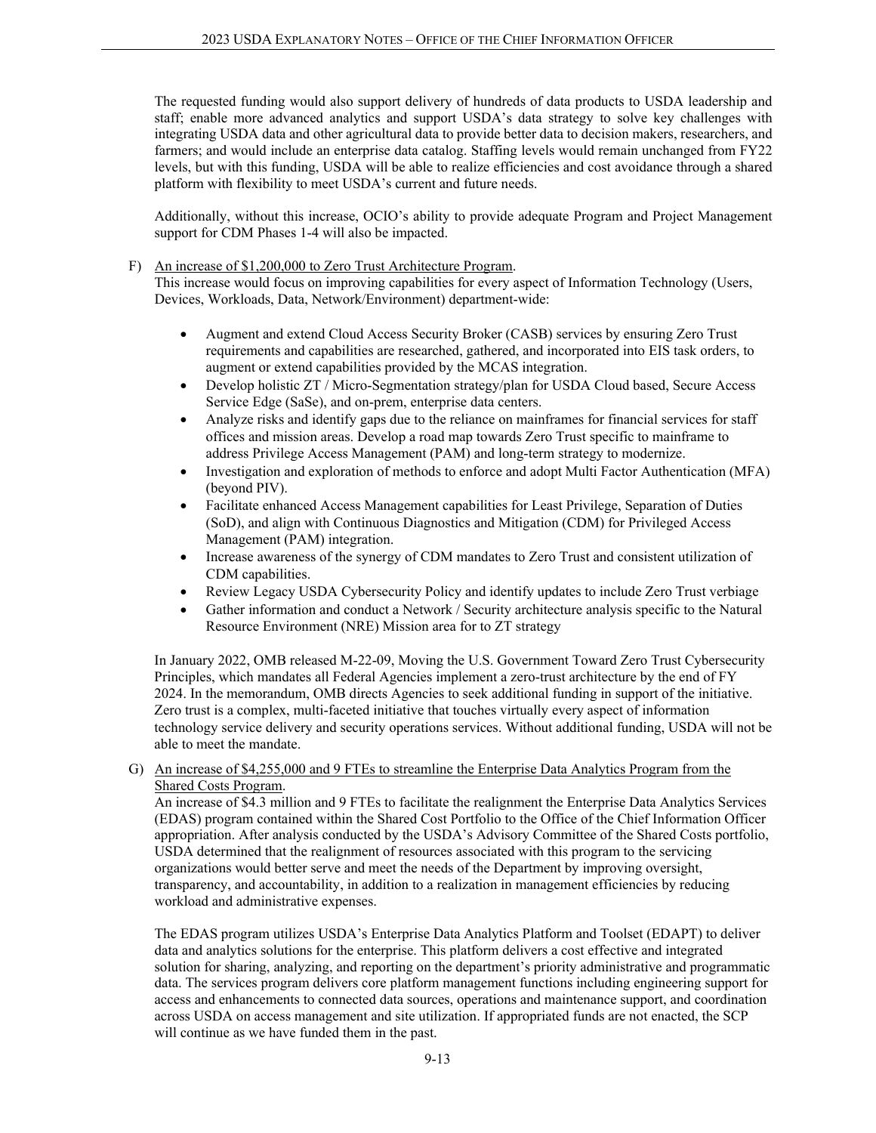The requested funding would also support delivery of hundreds of data products to USDA leadership and staff; enable more advanced analytics and support USDA's data strategy to solve key challenges with integrating USDA data and other agricultural data to provide better data to decision makers, researchers, and farmers; and would include an enterprise data catalog. Staffing levels would remain unchanged from FY22 levels, but with this funding, USDA will be able to realize efficiencies and cost avoidance through a shared platform with flexibility to meet USDA's current and future needs.

Additionally, without this increase, OCIO's ability to provide adequate Program and Project Management support for CDM Phases 1-4 will also be impacted.

F) An increase of \$1,200,000 to Zero Trust Architecture Program.

This increase would focus on improving capabilities for every aspect of Information Technology (Users, Devices, Workloads, Data, Network/Environment) department-wide:

- Augment and extend Cloud Access Security Broker (CASB) services by ensuring Zero Trust requirements and capabilities are researched, gathered, and incorporated into EIS task orders, to augment or extend capabilities provided by the MCAS integration.
- Develop holistic ZT / Micro-Segmentation strategy/plan for USDA Cloud based, Secure Access Service Edge (SaSe), and on-prem, enterprise data centers.
- Analyze risks and identify gaps due to the reliance on mainframes for financial services for staff offices and mission areas. Develop a road map towards Zero Trust specific to mainframe to address Privilege Access Management (PAM) and long-term strategy to modernize.
- Investigation and exploration of methods to enforce and adopt Multi Factor Authentication (MFA) (beyond PIV).
- Facilitate enhanced Access Management capabilities for Least Privilege, Separation of Duties (SoD), and align with Continuous Diagnostics and Mitigation (CDM) for Privileged Access Management (PAM) integration.
- Increase awareness of the synergy of CDM mandates to Zero Trust and consistent utilization of CDM capabilities.
- Review Legacy USDA Cybersecurity Policy and identify updates to include Zero Trust verbiage
- Gather information and conduct a Network / Security architecture analysis specific to the Natural Resource Environment (NRE) Mission area for to ZT strategy

In January 2022, OMB released M-22-09, Moving the U.S. Government Toward Zero Trust Cybersecurity Principles, which mandates all Federal Agencies implement a zero-trust architecture by the end of FY 2024. In the memorandum, OMB directs Agencies to seek additional funding in support of the initiative. Zero trust is a complex, multi-faceted initiative that touches virtually every aspect of information technology service delivery and security operations services. Without additional funding, USDA will not be able to meet the mandate.

G) An increase of \$4,255,000 and 9 FTEs to streamline the Enterprise Data Analytics Program from the Shared Costs Program.

An increase of \$4.3 million and 9 FTEs to facilitate the realignment the Enterprise Data Analytics Services (EDAS) program contained within the Shared Cost Portfolio to the Office of the Chief Information Officer appropriation. After analysis conducted by the USDA's Advisory Committee of the Shared Costs portfolio, USDA determined that the realignment of resources associated with this program to the servicing organizations would better serve and meet the needs of the Department by improving oversight, transparency, and accountability, in addition to a realization in management efficiencies by reducing workload and administrative expenses.

The EDAS program utilizes USDA's Enterprise Data Analytics Platform and Toolset (EDAPT) to deliver data and analytics solutions for the enterprise. This platform delivers a cost effective and integrated solution for sharing, analyzing, and reporting on the department's priority administrative and programmatic data. The services program delivers core platform management functions including engineering support for access and enhancements to connected data sources, operations and maintenance support, and coordination across USDA on access management and site utilization. If appropriated funds are not enacted, the SCP will continue as we have funded them in the past.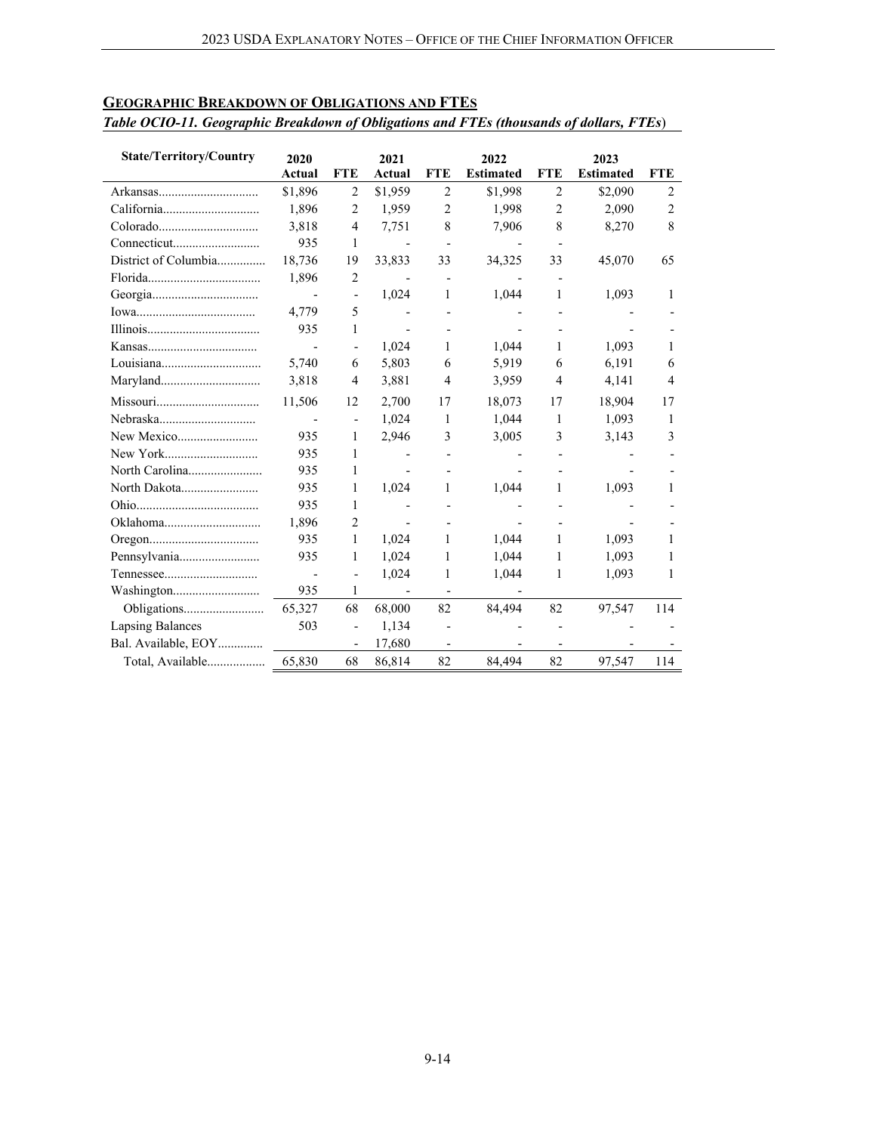| <b>State/Territory/Country</b> | 2020                     |                              | 2021                     |                          | 2022                     |                          | 2023             |                |
|--------------------------------|--------------------------|------------------------------|--------------------------|--------------------------|--------------------------|--------------------------|------------------|----------------|
|                                | Actual                   | <b>FTE</b>                   | Actual                   | <b>FTE</b>               | <b>Estimated</b>         | <b>FTE</b>               | <b>Estimated</b> | <b>FTE</b>     |
|                                | \$1,896                  | $\overline{2}$               | \$1,959                  | $\overline{c}$           | \$1,998                  | $\overline{2}$           | \$2,090          | $\overline{c}$ |
|                                | 1,896                    | $\overline{2}$               | 1,959                    | $\overline{c}$           | 1,998                    | $\overline{2}$           | 2,090            | 2              |
|                                | 3,818                    | $\overline{4}$               | 7,751                    | 8                        | 7,906                    | 8                        | 8,270            | 8              |
|                                | 935                      | 1                            | $\overline{a}$           | $\overline{\phantom{a}}$ |                          |                          |                  |                |
| District of Columbia           | 18,736                   | 19                           | 33,833                   | 33                       | 34,325                   | 33                       | 45,070           | 65             |
|                                | 1,896                    | 2                            |                          | $\overline{\phantom{a}}$ |                          |                          |                  |                |
|                                | $\overline{\phantom{a}}$ | $\overline{\phantom{a}}$     | 1,024                    | 1                        | 1,044                    | 1                        | 1,093            | 1              |
|                                | 4,779                    | 5                            |                          |                          |                          |                          |                  |                |
|                                | 935                      | 1                            | $\overline{\phantom{a}}$ |                          |                          |                          |                  |                |
|                                | Ĭ.                       |                              | 1,024                    | 1                        | 1,044                    | 1                        | 1,093            | 1              |
| Louisiana                      | 5,740                    | 6                            | 5,803                    | 6                        | 5,919                    | 6                        | 6,191            | 6              |
|                                | 3,818                    | 4                            | 3,881                    | 4                        | 3,959                    | $\overline{4}$           | 4,141            | 4              |
| Missouri                       | 11,506                   | 12                           | 2,700                    | 17                       | 18,073                   | 17                       | 18,904           | 17             |
| Nebraska                       | $\blacksquare$           | $\qquad \qquad \blacksquare$ | 1,024                    | 1                        | 1,044                    | 1                        | 1,093            | 1              |
|                                | 935                      | 1                            | 2,946                    | 3                        | 3,005                    | 3                        | 3,143            | 3              |
|                                | 935                      | 1                            |                          |                          |                          |                          |                  |                |
|                                | 935                      | 1                            |                          |                          |                          |                          |                  |                |
| North Dakota                   | 935                      | 1                            | 1,024                    | 1                        | 1,044                    | 1                        | 1,093            | 1              |
|                                | 935                      | 1                            |                          |                          |                          |                          |                  |                |
|                                | 1,896                    | 2                            | $\overline{\phantom{a}}$ |                          |                          |                          |                  |                |
|                                | 935                      | 1                            | 1,024                    | 1                        | 1,044                    | 1                        | 1,093            | 1              |
| Pennsylvania                   | 935                      | 1                            | 1,024                    | 1                        | 1,044                    | 1                        | 1,093            | 1              |
|                                |                          | $\qquad \qquad \blacksquare$ | 1,024                    | 1                        | 1,044                    | 1                        | 1,093            | 1              |
|                                | 935                      | 1                            | $\overline{\phantom{a}}$ | $\overline{\phantom{a}}$ | $\overline{\phantom{a}}$ |                          |                  |                |
|                                | 65,327                   | 68                           | 68,000                   | 82                       | 84,494                   | 82                       | 97,547           | 114            |
| <b>Lapsing Balances</b>        | 503                      | $\blacksquare$               | 1,134                    |                          |                          | $\overline{\phantom{a}}$ |                  |                |
| Bal. Available, EOY            |                          | $\overline{a}$               | 17,680                   |                          |                          |                          |                  |                |
| Total, Available               | 65,830                   | 68                           | 86,814                   | 82                       | 84,494                   | 82                       | 97,547           | 114            |

## **GEOGRAPHIC BREAKDOWN OF OBLIGATIONS AND FTES**

#### *Table OCIO-11. Geographic Breakdown of Obligations and FTEs (thousands of dollars, FTEs*)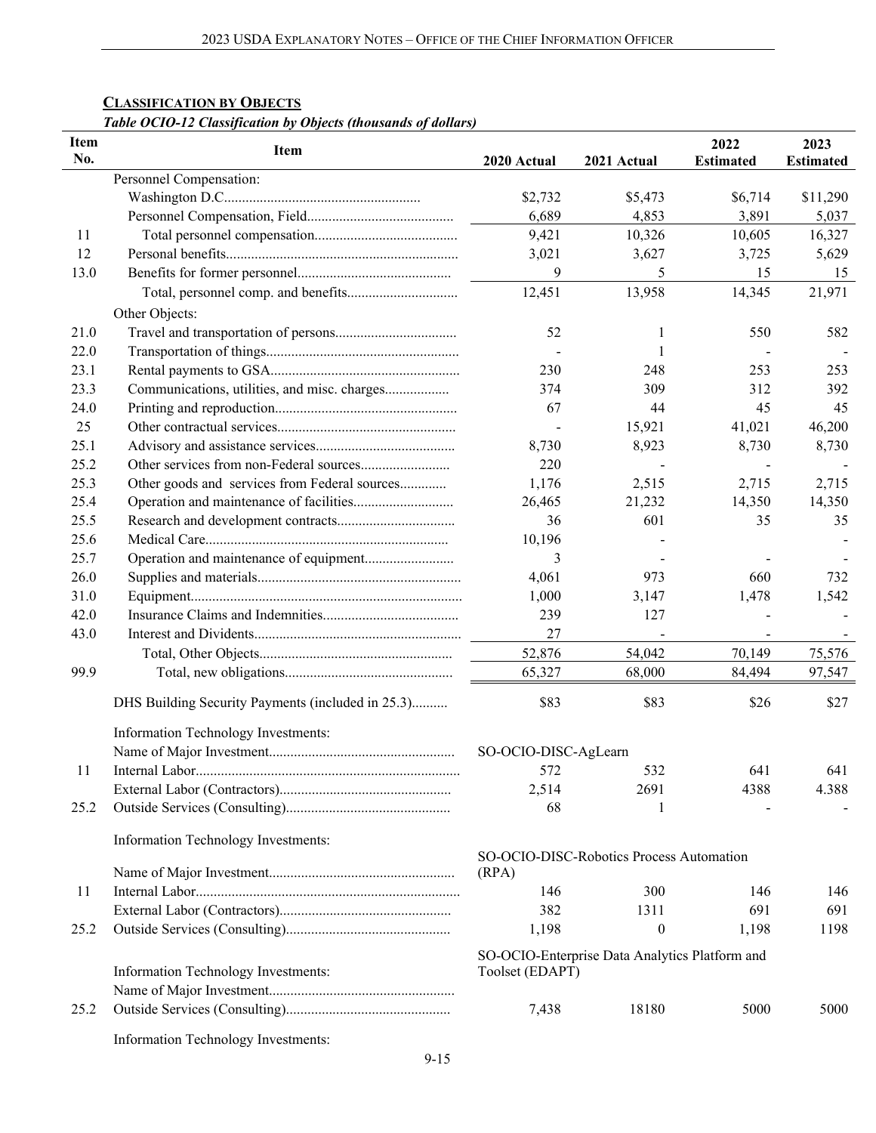## **CLASSIFICATION BY OBJECTS**

## *Table OCIO-12 Classification by Objects (thousands of dollars)*

| Item<br>No. | Item                                              | 2020 Actual          | 2021 Actual                                    | 2022<br><b>Estimated</b> | 2023<br><b>Estimated</b> |
|-------------|---------------------------------------------------|----------------------|------------------------------------------------|--------------------------|--------------------------|
|             | Personnel Compensation:                           |                      |                                                |                          |                          |
|             |                                                   | \$2,732              | \$5,473                                        | \$6,714                  | \$11,290                 |
|             |                                                   | 6,689                | 4,853                                          | 3,891                    | 5,037                    |
| 11          |                                                   | 9,421                | 10,326                                         | 10,605                   | 16,327                   |
| 12          |                                                   | 3,021                | 3,627                                          | 3,725                    | 5,629                    |
| 13.0        |                                                   | 9                    | 5                                              | 15                       | 15                       |
|             |                                                   | 12,451               | 13,958                                         | 14,345                   | 21,971                   |
|             |                                                   |                      |                                                |                          |                          |
|             | Other Objects:                                    |                      |                                                |                          |                          |
| 21.0        |                                                   | 52                   | ı                                              | 550                      | 582                      |
| 22.0        |                                                   |                      |                                                |                          |                          |
| 23.1        |                                                   | 230                  | 248                                            | 253                      | 253                      |
| 23.3        | Communications, utilities, and misc. charges      | 374                  | 309                                            | 312                      | 392                      |
| 24.0        |                                                   | 67                   | 44                                             | 45                       | 45                       |
| 25          |                                                   |                      | 15,921                                         | 41,021                   | 46,200                   |
| 25.1        |                                                   | 8,730                | 8,923                                          | 8,730                    | 8,730                    |
| 25.2        |                                                   | 220                  |                                                |                          |                          |
| 25.3        | Other goods and services from Federal sources     | 1,176                | 2,515                                          | 2,715                    | 2,715                    |
| 25.4        |                                                   | 26,465               | 21,232                                         | 14,350                   | 14,350                   |
| 25.5        |                                                   | 36                   | 601                                            | 35                       | 35                       |
| 25.6        |                                                   | 10,196               |                                                |                          |                          |
| 25.7        | Operation and maintenance of equipment            | 3                    |                                                |                          |                          |
| 26.0        |                                                   | 4,061                | 973                                            | 660                      | 732                      |
| 31.0        |                                                   | 1,000                | 3,147                                          | 1,478                    | 1,542                    |
| 42.0        |                                                   | 239                  | 127                                            |                          |                          |
| 43.0        |                                                   | 27                   |                                                | $\blacksquare$           |                          |
|             |                                                   | 52,876               | 54,042                                         | 70,149                   | 75,576                   |
|             |                                                   |                      |                                                |                          |                          |
| 99.9        |                                                   | 65,327               | 68,000                                         | 84,494                   | 97,547                   |
|             | DHS Building Security Payments (included in 25.3) | \$83                 | \$83                                           | \$26                     | \$27                     |
|             | Information Technology Investments:               |                      |                                                |                          |                          |
|             |                                                   | SO-OCIO-DISC-AgLearn |                                                |                          |                          |
| 11          |                                                   | 572                  | 532                                            | 641                      | 641                      |
|             |                                                   | 2,514                | 2691                                           | 4388                     | 4.388                    |
| 25.2        |                                                   | 68                   |                                                |                          |                          |
|             |                                                   |                      |                                                |                          |                          |
|             | Information Technology Investments:               |                      | SO-OCIO-DISC-Robotics Process Automation       |                          |                          |
|             |                                                   | (RPA)                |                                                |                          |                          |
| 11          |                                                   | 146                  | 300                                            | 146                      | 146                      |
|             |                                                   | 382                  | 1311                                           | 691                      | 691                      |
| 25.2        |                                                   | 1,198                | $\boldsymbol{0}$                               | 1,198                    | 1198                     |
|             |                                                   |                      |                                                |                          |                          |
|             | Information Technology Investments:               | Toolset (EDAPT)      | SO-OCIO-Enterprise Data Analytics Platform and |                          |                          |
|             |                                                   |                      |                                                |                          |                          |
| 25.2        |                                                   | 7,438                | 18180                                          | 5000                     | 5000                     |
|             | Information Technology Investments:               |                      |                                                |                          |                          |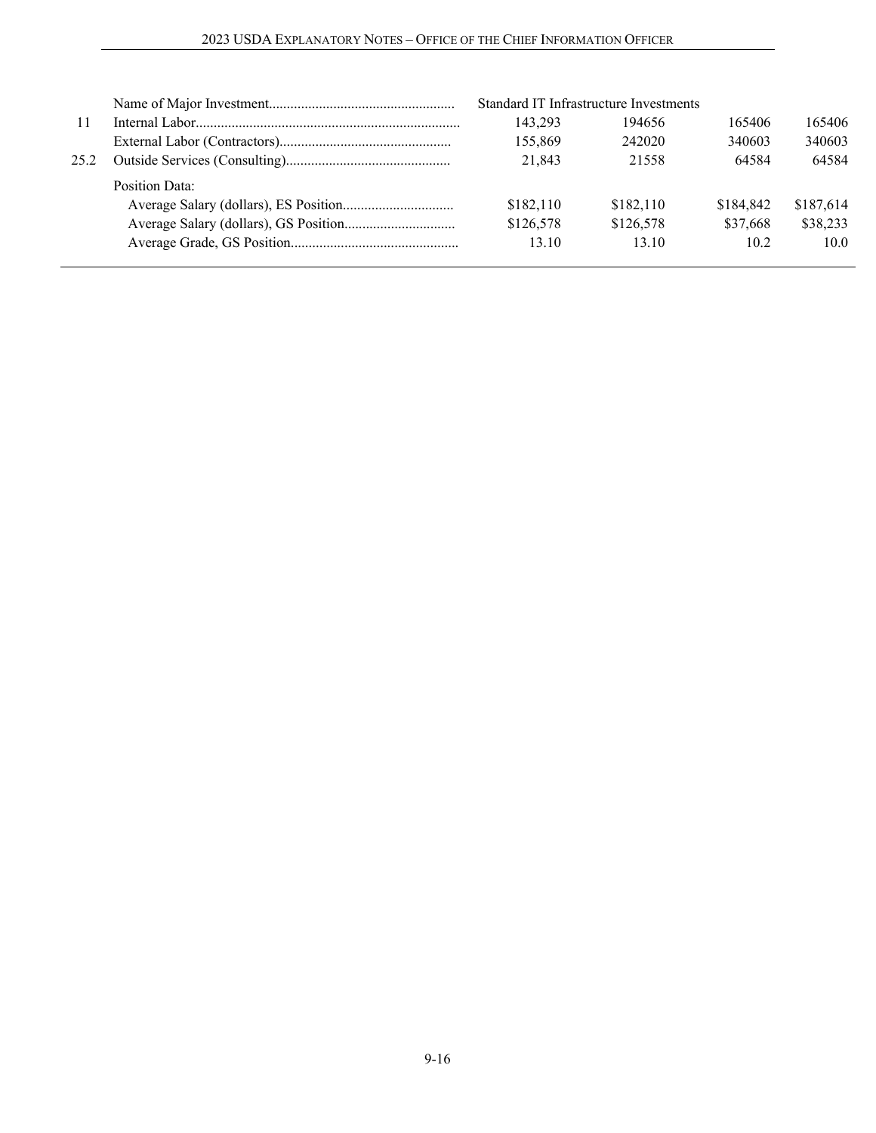|      |                | Standard IT Infrastructure Investments |           |           |           |
|------|----------------|----------------------------------------|-----------|-----------|-----------|
| -11  |                | 143,293                                | 194656    | 165406    | 165406    |
|      |                | 155,869                                | 242020    | 340603    | 340603    |
| 25.2 |                | 21,843                                 | 21558     | 64584     | 64584     |
|      | Position Data: |                                        |           |           |           |
|      |                | \$182,110                              | \$182,110 | \$184,842 | \$187.614 |
|      |                | \$126,578                              | \$126,578 | \$37,668  | \$38,233  |
|      |                | 13.10                                  | 13.10     | 10.2      | 10.0      |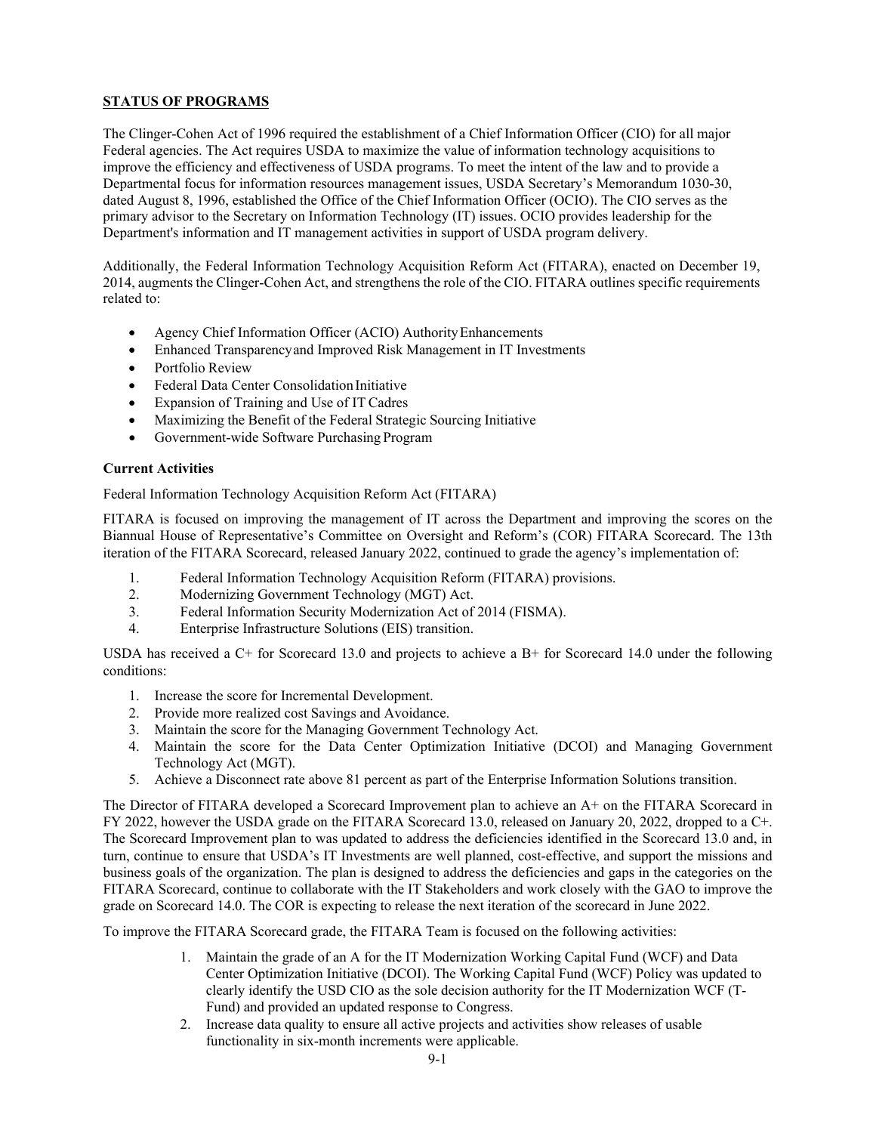## **STATUS OF PROGRAMS**

The Clinger-Cohen Act of 1996 required the establishment of a Chief Information Officer (CIO) for all major Federal agencies. The Act requires USDA to maximize the value of information technology acquisitions to improve the efficiency and effectiveness of USDA programs. To meet the intent of the law and to provide a Departmental focus for information resources management issues, USDA Secretary's Memorandum 1030-30, dated August 8, 1996, established the Office of the Chief Information Officer (OCIO). The CIO serves as the primary advisor to the Secretary on Information Technology (IT) issues. OCIO provides leadership for the Department's information and IT management activities in support of USDA program delivery.

Additionally, the Federal Information Technology Acquisition Reform Act (FITARA), enacted on December 19, 2014, augments the Clinger-Cohen Act, and strengthens the role of the CIO. FITARA outlines specific requirements related to:

- Agency Chief Information Officer (ACIO) Authority Enhancements
- Enhanced Transparencyand Improved Risk Management in IT Investments
- Portfolio Review
- Federal Data Center Consolidation Initiative
- Expansion of Training and Use of IT Cadres
- Maximizing the Benefit of the Federal Strategic Sourcing Initiative
- Government-wide Software Purchasing Program

#### **Current Activities**

Federal Information Technology Acquisition Reform Act (FITARA)

FITARA is focused on improving the management of IT across the Department and improving the scores on the Biannual House of Representative's Committee on Oversight and Reform's (COR) FITARA Scorecard. The 13th iteration of the FITARA Scorecard, released January 2022, continued to grade the agency's implementation of:

- 1. Federal Information Technology Acquisition Reform (FITARA) provisions.
- 2. Modernizing Government Technology (MGT) Act.
- 3. Federal Information Security Modernization Act of 2014 (FISMA).
- 4. Enterprise Infrastructure Solutions (EIS) transition.

USDA has received a C+ for Scorecard 13.0 and projects to achieve a B+ for Scorecard 14.0 under the following conditions:

- 1. Increase the score for Incremental Development.
- 2. Provide more realized cost Savings and Avoidance.
- 3. Maintain the score for the Managing Government Technology Act.
- 4. Maintain the score for the Data Center Optimization Initiative (DCOI) and Managing Government Technology Act (MGT).
- 5. Achieve a Disconnect rate above 81 percent as part of the Enterprise Information Solutions transition.

The Director of FITARA developed a Scorecard Improvement plan to achieve an A+ on the FITARA Scorecard in FY 2022, however the USDA grade on the FITARA Scorecard 13.0, released on January 20, 2022, dropped to a C+. The Scorecard Improvement plan to was updated to address the deficiencies identified in the Scorecard 13.0 and, in turn, continue to ensure that USDA's IT Investments are well planned, cost-effective, and support the missions and business goals of the organization. The plan is designed to address the deficiencies and gaps in the categories on the FITARA Scorecard, continue to collaborate with the IT Stakeholders and work closely with the GAO to improve the grade on Scorecard 14.0. The COR is expecting to release the next iteration of the scorecard in June 2022.

To improve the FITARA Scorecard grade, the FITARA Team is focused on the following activities:

- 1. Maintain the grade of an A for the IT Modernization Working Capital Fund (WCF) and Data Center Optimization Initiative (DCOI). The Working Capital Fund (WCF) Policy was updated to clearly identify the USD CIO as the sole decision authority for the IT Modernization WCF (T-Fund) and provided an updated response to Congress.
- 2. Increase data quality to ensure all active projects and activities show releases of usable functionality in six-month increments were applicable.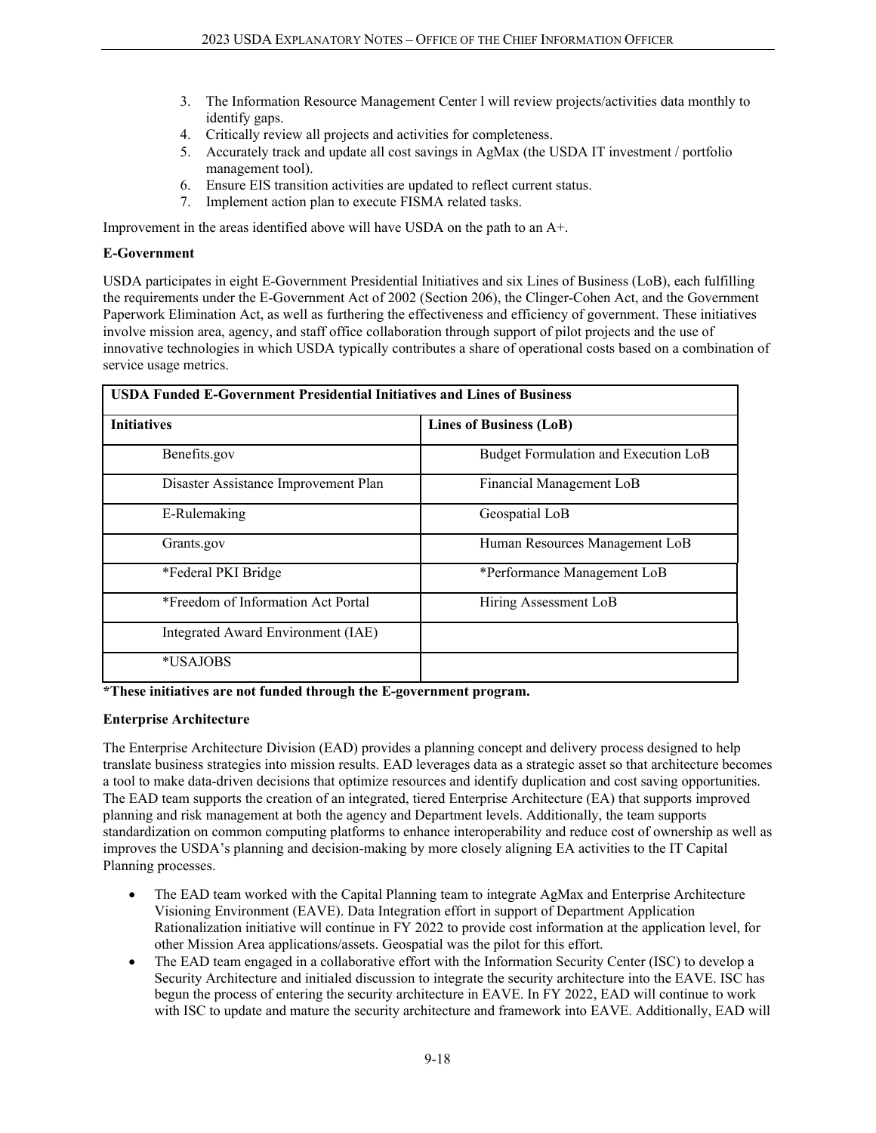- 3. The Information Resource Management Center l will review projects/activities data monthly to identify gaps.
- 4. Critically review all projects and activities for completeness.
- 5. Accurately track and update all cost savings in AgMax (the USDA IT investment / portfolio management tool).
- 6. Ensure EIS transition activities are updated to reflect current status.
- 7. Implement action plan to execute FISMA related tasks.

Improvement in the areas identified above will have USDA on the path to an A+.

#### **E-Government**

USDA participates in eight E-Government Presidential Initiatives and six Lines of Business (LoB), each fulfilling the requirements under the E-Government Act of 2002 (Section 206), the Clinger-Cohen Act, and the Government Paperwork Elimination Act, as well as furthering the effectiveness and efficiency of government. These initiatives involve mission area, agency, and staff office collaboration through support of pilot projects and the use of innovative technologies in which USDA typically contributes a share of operational costs based on a combination of service usage metrics.

| <b>USDA Funded E-Government Presidential Initiatives and Lines of Business</b> |                                      |  |  |  |  |
|--------------------------------------------------------------------------------|--------------------------------------|--|--|--|--|
| <b>Initiatives</b>                                                             | <b>Lines of Business (LoB)</b>       |  |  |  |  |
| Benefits.gov                                                                   | Budget Formulation and Execution LoB |  |  |  |  |
| Disaster Assistance Improvement Plan                                           | Financial Management LoB             |  |  |  |  |
| E-Rulemaking                                                                   | Geospatial LoB                       |  |  |  |  |
| Grants.gov                                                                     | Human Resources Management LoB       |  |  |  |  |
| *Federal PKI Bridge                                                            | *Performance Management LoB          |  |  |  |  |
| *Freedom of Information Act Portal                                             | Hiring Assessment LoB                |  |  |  |  |
| Integrated Award Environment (IAE)                                             |                                      |  |  |  |  |
| *USAJOBS                                                                       |                                      |  |  |  |  |

**\*These initiatives are not funded through the E-government program.**

#### **Enterprise Architecture**

The Enterprise Architecture Division (EAD) provides a planning concept and delivery process designed to help translate business strategies into mission results. EAD leverages data as a strategic asset so that architecture becomes a tool to make data-driven decisions that optimize resources and identify duplication and cost saving opportunities. The EAD team supports the creation of an integrated, tiered Enterprise Architecture (EA) that supports improved planning and risk management at both the agency and Department levels. Additionally, the team supports standardization on common computing platforms to enhance interoperability and reduce cost of ownership as well as improves the USDA's planning and decision-making by more closely aligning EA activities to the IT Capital Planning processes.

- The EAD team worked with the Capital Planning team to integrate AgMax and Enterprise Architecture Visioning Environment (EAVE). Data Integration effort in support of Department Application Rationalization initiative will continue in FY 2022 to provide cost information at the application level, for other Mission Area applications/assets. Geospatial was the pilot for this effort.
- The EAD team engaged in a collaborative effort with the Information Security Center (ISC) to develop a Security Architecture and initialed discussion to integrate the security architecture into the EAVE. ISC has begun the process of entering the security architecture in EAVE. In FY 2022, EAD will continue to work with ISC to update and mature the security architecture and framework into EAVE. Additionally, EAD will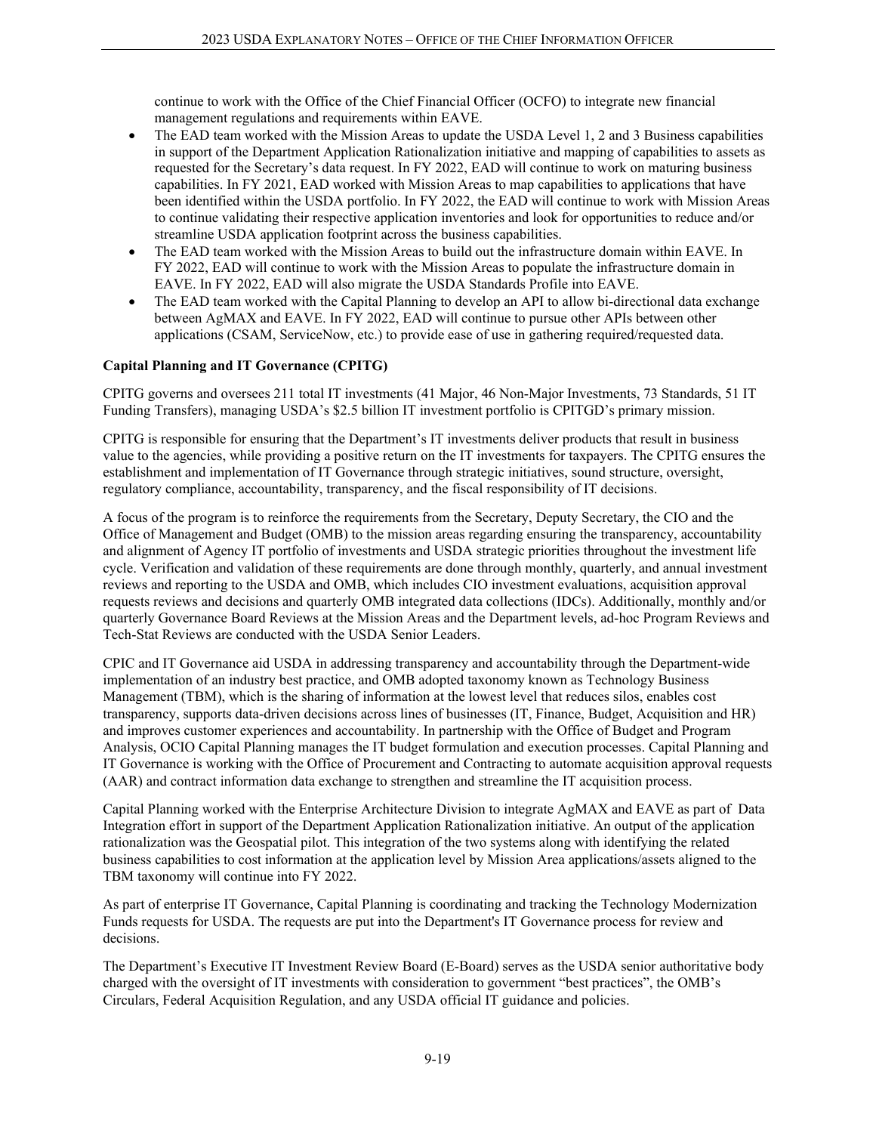continue to work with the Office of the Chief Financial Officer (OCFO) to integrate new financial management regulations and requirements within EAVE.

- The EAD team worked with the Mission Areas to update the USDA Level 1, 2 and 3 Business capabilities in support of the Department Application Rationalization initiative and mapping of capabilities to assets as requested for the Secretary's data request. In FY 2022, EAD will continue to work on maturing business capabilities. In FY 2021, EAD worked with Mission Areas to map capabilities to applications that have been identified within the USDA portfolio. In FY 2022, the EAD will continue to work with Mission Areas to continue validating their respective application inventories and look for opportunities to reduce and/or streamline USDA application footprint across the business capabilities.
- The EAD team worked with the Mission Areas to build out the infrastructure domain within EAVE. In FY 2022, EAD will continue to work with the Mission Areas to populate the infrastructure domain in EAVE. In FY 2022, EAD will also migrate the USDA Standards Profile into EAVE.
- The EAD team worked with the Capital Planning to develop an API to allow bi-directional data exchange between AgMAX and EAVE. In FY 2022, EAD will continue to pursue other APIs between other applications (CSAM, ServiceNow, etc.) to provide ease of use in gathering required/requested data.

#### **Capital Planning and IT Governance (CPITG)**

CPITG governs and oversees 211 total IT investments (41 Major, 46 Non-Major Investments, 73 Standards, 51 IT Funding Transfers), managing USDA's \$2.5 billion IT investment portfolio is CPITGD's primary mission.

CPITG is responsible for ensuring that the Department's IT investments deliver products that result in business value to the agencies, while providing a positive return on the IT investments for taxpayers. The CPITG ensures the establishment and implementation of IT Governance through strategic initiatives, sound structure, oversight, regulatory compliance, accountability, transparency, and the fiscal responsibility of IT decisions.

A focus of the program is to reinforce the requirements from the Secretary, Deputy Secretary, the CIO and the Office of Management and Budget (OMB) to the mission areas regarding ensuring the transparency, accountability and alignment of Agency IT portfolio of investments and USDA strategic priorities throughout the investment life cycle. Verification and validation of these requirements are done through monthly, quarterly, and annual investment reviews and reporting to the USDA and OMB, which includes CIO investment evaluations, acquisition approval requests reviews and decisions and quarterly OMB integrated data collections (IDCs). Additionally, monthly and/or quarterly Governance Board Reviews at the Mission Areas and the Department levels, ad-hoc Program Reviews and Tech-Stat Reviews are conducted with the USDA Senior Leaders.

CPIC and IT Governance aid USDA in addressing transparency and accountability through the Department-wide implementation of an industry best practice, and OMB adopted taxonomy known as Technology Business Management (TBM), which is the sharing of information at the lowest level that reduces silos, enables cost transparency, supports data-driven decisions across lines of businesses (IT, Finance, Budget, Acquisition and HR) and improves customer experiences and accountability. In partnership with the Office of Budget and Program Analysis, OCIO Capital Planning manages the IT budget formulation and execution processes. Capital Planning and IT Governance is working with the Office of Procurement and Contracting to automate acquisition approval requests (AAR) and contract information data exchange to strengthen and streamline the IT acquisition process.

Capital Planning worked with the Enterprise Architecture Division to integrate AgMAX and EAVE as part of Data Integration effort in support of the Department Application Rationalization initiative. An output of the application rationalization was the Geospatial pilot. This integration of the two systems along with identifying the related business capabilities to cost information at the application level by Mission Area applications/assets aligned to the TBM taxonomy will continue into FY 2022.

As part of enterprise IT Governance, Capital Planning is coordinating and tracking the Technology Modernization Funds requests for USDA. The requests are put into the Department's IT Governance process for review and decisions.

The Department's Executive IT Investment Review Board (E-Board) serves as the USDA senior authoritative body charged with the oversight of IT investments with consideration to government "best practices", the OMB's Circulars, Federal Acquisition Regulation, and any USDA official IT guidance and policies.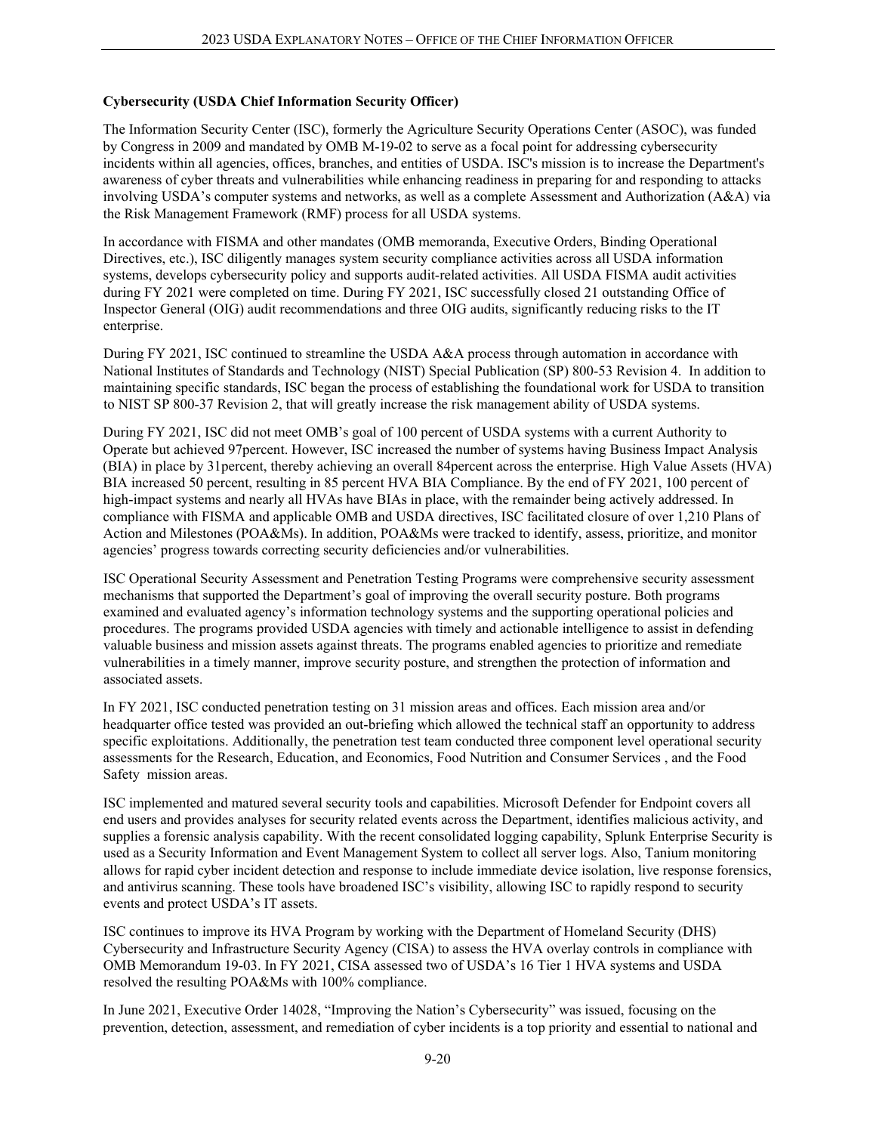### **Cybersecurity (USDA Chief Information Security Officer)**

The Information Security Center (ISC), formerly the Agriculture Security Operations Center (ASOC), was funded by Congress in 2009 and mandated by OMB M-19-02 to serve as a focal point for addressing cybersecurity incidents within all agencies, offices, branches, and entities of USDA. ISC's mission is to increase the Department's awareness of cyber threats and vulnerabilities while enhancing readiness in preparing for and responding to attacks involving USDA's computer systems and networks, as well as a complete Assessment and Authorization (A&A) via the Risk Management Framework (RMF) process for all USDA systems.

In accordance with FISMA and other mandates (OMB memoranda, Executive Orders, Binding Operational Directives, etc.), ISC diligently manages system security compliance activities across all USDA information systems, develops cybersecurity policy and supports audit-related activities. All USDA FISMA audit activities during FY 2021 were completed on time. During FY 2021, ISC successfully closed 21 outstanding Office of Inspector General (OIG) audit recommendations and three OIG audits, significantly reducing risks to the IT enterprise.

During FY 2021, ISC continued to streamline the USDA A&A process through automation in accordance with National Institutes of Standards and Technology (NIST) Special Publication (SP) 800-53 Revision 4. In addition to maintaining specific standards, ISC began the process of establishing the foundational work for USDA to transition to NIST SP 800-37 Revision 2, that will greatly increase the risk management ability of USDA systems.

During FY 2021, ISC did not meet OMB's goal of 100 percent of USDA systems with a current Authority to Operate but achieved 97percent. However, ISC increased the number of systems having Business Impact Analysis (BIA) in place by 31percent, thereby achieving an overall 84percent across the enterprise. High Value Assets (HVA) BIA increased 50 percent, resulting in 85 percent HVA BIA Compliance. By the end of FY 2021, 100 percent of high-impact systems and nearly all HVAs have BIAs in place, with the remainder being actively addressed. In compliance with FISMA and applicable OMB and USDA directives, ISC facilitated closure of over 1,210 Plans of Action and Milestones (POA&Ms). In addition, POA&Ms were tracked to identify, assess, prioritize, and monitor agencies' progress towards correcting security deficiencies and/or vulnerabilities.

ISC Operational Security Assessment and Penetration Testing Programs were comprehensive security assessment mechanisms that supported the Department's goal of improving the overall security posture. Both programs examined and evaluated agency's information technology systems and the supporting operational policies and procedures. The programs provided USDA agencies with timely and actionable intelligence to assist in defending valuable business and mission assets against threats. The programs enabled agencies to prioritize and remediate vulnerabilities in a timely manner, improve security posture, and strengthen the protection of information and associated assets.

In FY 2021, ISC conducted penetration testing on 31 mission areas and offices. Each mission area and/or headquarter office tested was provided an out-briefing which allowed the technical staff an opportunity to address specific exploitations. Additionally, the penetration test team conducted three component level operational security assessments for the Research, Education, and Economics, Food Nutrition and Consumer Services , and the Food Safety mission areas.

ISC implemented and matured several security tools and capabilities. Microsoft Defender for Endpoint covers all end users and provides analyses for security related events across the Department, identifies malicious activity, and supplies a forensic analysis capability. With the recent consolidated logging capability, Splunk Enterprise Security is used as a Security Information and Event Management System to collect all server logs. Also, Tanium monitoring allows for rapid cyber incident detection and response to include immediate device isolation, live response forensics, and antivirus scanning. These tools have broadened ISC's visibility, allowing ISC to rapidly respond to security events and protect USDA's IT assets.

ISC continues to improve its HVA Program by working with the Department of Homeland Security (DHS) Cybersecurity and Infrastructure Security Agency (CISA) to assess the HVA overlay controls in compliance with OMB Memorandum 19-03. In FY 2021, CISA assessed two of USDA's 16 Tier 1 HVA systems and USDA resolved the resulting POA&Ms with 100% compliance.

In June 2021, Executive Order 14028, "Improving the Nation's Cybersecurity" was issued, focusing on the prevention, detection, assessment, and remediation of cyber incidents is a top priority and essential to national and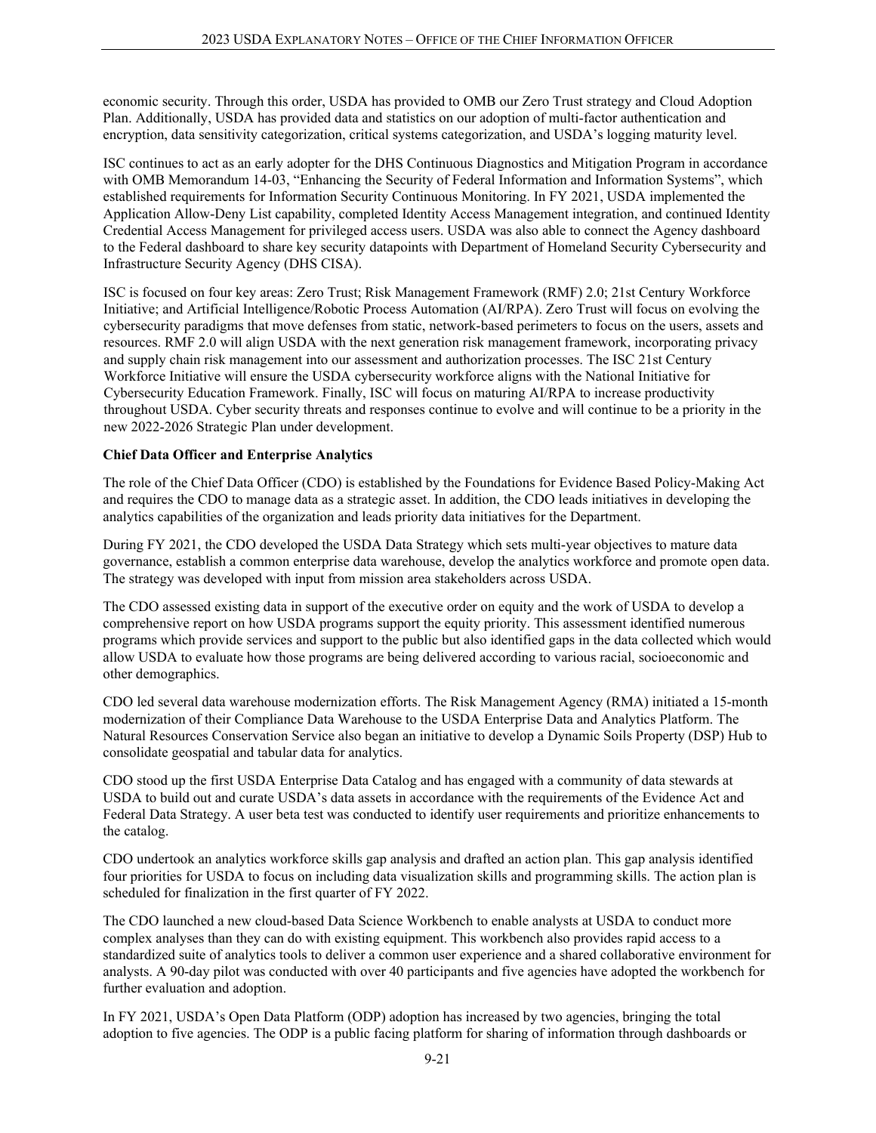economic security. Through this order, USDA has provided to OMB our Zero Trust strategy and Cloud Adoption Plan. Additionally, USDA has provided data and statistics on our adoption of multi-factor authentication and encryption, data sensitivity categorization, critical systems categorization, and USDA's logging maturity level.

ISC continues to act as an early adopter for the DHS Continuous Diagnostics and Mitigation Program in accordance with OMB Memorandum 14-03, "Enhancing the Security of Federal Information and Information Systems", which established requirements for Information Security Continuous Monitoring. In FY 2021, USDA implemented the Application Allow-Deny List capability, completed Identity Access Management integration, and continued Identity Credential Access Management for privileged access users. USDA was also able to connect the Agency dashboard to the Federal dashboard to share key security datapoints with Department of Homeland Security Cybersecurity and Infrastructure Security Agency (DHS CISA).

ISC is focused on four key areas: Zero Trust; Risk Management Framework (RMF) 2.0; 21st Century Workforce Initiative; and Artificial Intelligence/Robotic Process Automation (AI/RPA). Zero Trust will focus on evolving the cybersecurity paradigms that move defenses from static, network-based perimeters to focus on the users, assets and resources. RMF 2.0 will align USDA with the next generation risk management framework, incorporating privacy and supply chain risk management into our assessment and authorization processes. The ISC 21st Century Workforce Initiative will ensure the USDA cybersecurity workforce aligns with the National Initiative for Cybersecurity Education Framework. Finally, ISC will focus on maturing AI/RPA to increase productivity throughout USDA. Cyber security threats and responses continue to evolve and will continue to be a priority in the new 2022-2026 Strategic Plan under development.

#### **Chief Data Officer and Enterprise Analytics**

The role of the Chief Data Officer (CDO) is established by the Foundations for Evidence Based Policy-Making Act and requires the CDO to manage data as a strategic asset. In addition, the CDO leads initiatives in developing the analytics capabilities of the organization and leads priority data initiatives for the Department.

During FY 2021, the CDO developed the USDA Data Strategy which sets multi-year objectives to mature data governance, establish a common enterprise data warehouse, develop the analytics workforce and promote open data. The strategy was developed with input from mission area stakeholders across USDA.

The CDO assessed existing data in support of the executive order on equity and the work of USDA to develop a comprehensive report on how USDA programs support the equity priority. This assessment identified numerous programs which provide services and support to the public but also identified gaps in the data collected which would allow USDA to evaluate how those programs are being delivered according to various racial, socioeconomic and other demographics.

CDO led several data warehouse modernization efforts. The Risk Management Agency (RMA) initiated a 15-month modernization of their Compliance Data Warehouse to the USDA Enterprise Data and Analytics Platform. The Natural Resources Conservation Service also began an initiative to develop a Dynamic Soils Property (DSP) Hub to consolidate geospatial and tabular data for analytics.

CDO stood up the first USDA Enterprise Data Catalog and has engaged with a community of data stewards at USDA to build out and curate USDA's data assets in accordance with the requirements of the Evidence Act and Federal Data Strategy. A user beta test was conducted to identify user requirements and prioritize enhancements to the catalog.

CDO undertook an analytics workforce skills gap analysis and drafted an action plan. This gap analysis identified four priorities for USDA to focus on including data visualization skills and programming skills. The action plan is scheduled for finalization in the first quarter of FY 2022.

The CDO launched a new cloud-based Data Science Workbench to enable analysts at USDA to conduct more complex analyses than they can do with existing equipment. This workbench also provides rapid access to a standardized suite of analytics tools to deliver a common user experience and a shared collaborative environment for analysts. A 90-day pilot was conducted with over 40 participants and five agencies have adopted the workbench for further evaluation and adoption.

In FY 2021, USDA's Open Data Platform (ODP) adoption has increased by two agencies, bringing the total adoption to five agencies. The ODP is a public facing platform for sharing of information through dashboards or